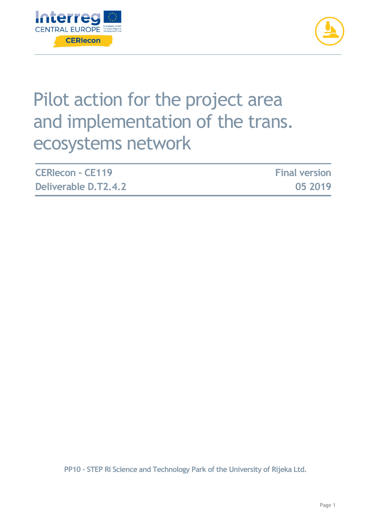



# Pilot action for the project area and implementation of the trans. ecosystems network

| <b>CERIecon - CE119</b> | <b>Final version</b> |
|-------------------------|----------------------|
| Deliverable D.T2.4.2    | 05 2019              |

**PP10 - STEP RI Science and Technology Park of the University of Rijeka Ltd.**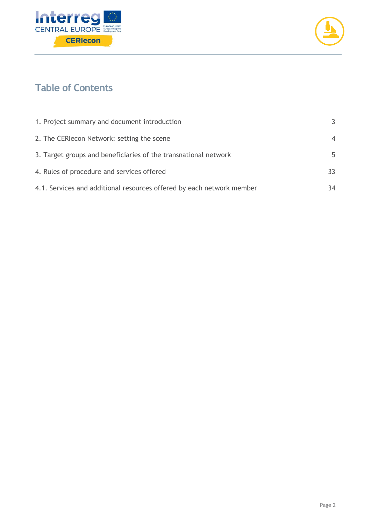



## **Table of Contents**

| 1. Project summary and document introduction                          | 3              |
|-----------------------------------------------------------------------|----------------|
| 2. The CERIecon Network: setting the scene                            | $\overline{4}$ |
| 3. Target groups and beneficiaries of the transnational network       | 5              |
| 4. Rules of procedure and services offered                            | 33             |
| 4.1. Services and additional resources offered by each network member | 34             |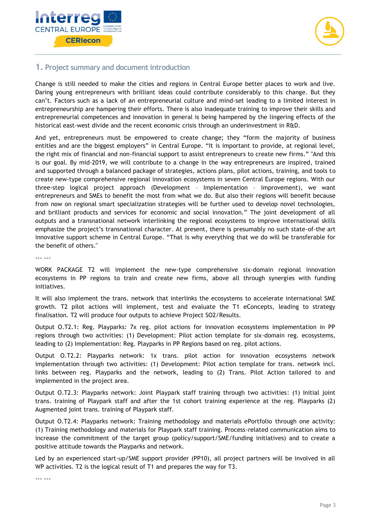



## <span id="page-2-0"></span>**1. Project summary and document introduction**

Change is still needed to make the cities and regions in Central Europe better places to work and live. Daring young entrepreneurs with brilliant ideas could contribute considerably to this change. But they can't. Factors such as a lack of an entrepreneurial culture and mind-set leading to a limited interest in entrepreneurship are hampering their efforts. There is also inadequate training to improve their skills and entrepreneurial competences and innovation in general is being hampered by the lingering effects of the historical east-west divide and the recent economic crisis through an underinvestment in R&D.

And yet, entrepreneurs must be empowered to create change; they "form the majority of business entities and are the biggest employers" in Central Europe. "It is important to provide, at regional level, the right mix of financial and non-financial support to assist entrepreneurs to create new firms." "And this is our goal. By mid-2019, we will contribute to a change in the way entrepreneurs are inspired, trained and supported through a balanced package of strategies, actions plans, pilot actions, training, and tools to create new-type comprehensive regional innovation ecosystems in seven Central Europe regions. With our three-step logical project approach (Development – Implementation – Improvement), we want entrepreneurs and SMEs to benefit the most from what we do. But also their regions will benefit because from now on regional smart specialization strategies will be further used to develop novel technologies, and brilliant products and services for economic and social innovation." The joint development of all outputs and a transnational network interlinking the regional ecosystems to improve international skills emphasize the project's transnational character. At present, there is presumably no such state-of-the art innovative support scheme in Central Europe. "That is why everything that we do will be transferable for the benefit of others."

--- ---

WORK PACKAGE T2 will implement the new-type comprehensive six-domain regional innovation ecosystems in PP regions to train and create new firms, above all through synergies with funding initiatives.

It will also implement the trans. network that interlinks the ecosystems to accelerate international SME growth. T2 pilot actions will implement, test and evaluate the T1 eConcepts, leading to strategy finalisation. T2 will produce four outputs to achieve Project SO2/Results.

Output O.T2.1: Reg. Playparks: 7x reg. pilot actions for innovation ecosystems implementation in PP regions through two activities: (1) Development: Pilot action template for six-domain reg. ecosystems, leading to (2) Implementation: Reg. Playparks in PP Regions based on reg. pilot actions.

Output O.T2.2: Playparks network: 1x trans. pilot action for innovation ecosystems network implementation through two activities: (1) Development: Pilot action template for trans. network incl. links between reg. Playparks and the network, leading to (2) Trans. Pilot Action tailored to and implemented in the project area.

Output O.T2.3: Playparks network: Joint Playpark staff training through two activities: (1) Initial joint trans. training of Playpark staff and after the 1st cohort training experience at the reg. Playparks (2) Augmented joint trans. training of Playpark staff.

Output O.T2.4: Playparks network: Training methodology and materials ePortfolio through one activity: (1) Training methodology and materials for Playpark staff training. Process-related communication aims to increase the commitment of the target group (policy/support/SME/funding initiatives) and to create a positive attitude towards the Playparks and network.

Led by an experienced start-up/SME support provider (PP10), all project partners will be involved in all WP activities. T2 is the logical result of T1 and prepares the way for T3.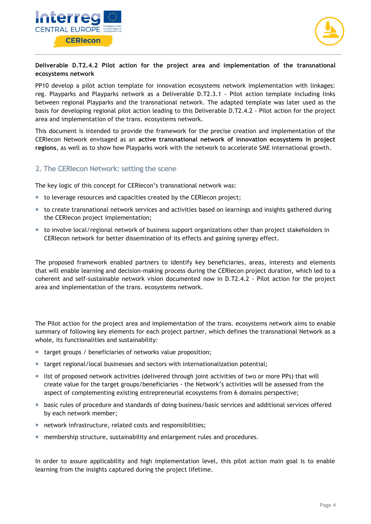



#### **Deliverable D.T2.4.2 Pilot action for the project area and implementation of the transnational ecosystems network**

PP10 develop a pilot action template for innovation ecosystems network implementation with linkages: reg. Playparks and Playparks network as a Deliverable D.T2.3.1 - Pilot action template including links between regional Playparks and the transnational network. The adapted template was later used as the basis for developing regional pilot action leading to this Deliverable D.T2.4.2 - Pilot action for the project area and implementation of the trans. ecosystems network.

This document is intended to provide the framework for the precise creation and implementation of the CERIecon Network envisaged as an **active transnational network of innovation ecosystems in project regions**, as well as to show how Playparks work with the network to accelerate SME international growth.

## <span id="page-3-0"></span>**2. The CERIecon Network: setting the scene**

The key logic of this concept for CERIecon's transnational network was:

- $\blacksquare$  to leverage resources and capacities created by the CERIecon project;
- to create transnational network services and activities based on learnings and insights gathered during the CERIecon project implementation;
- $\blacksquare$  to involve local/regional network of business support organizations other than project stakeholders in CERIecon network for better dissemination of its effects and gaining synergy effect.

The proposed framework enabled partners to identify key beneficiaries, areas, interests and elements that will enable learning and decision-making process during the CERIecon project duration, which led to a coherent and self-sustainable network vision documented now in D.T2.4.2 - Pilot action for the project area and implementation of the trans. ecosystems network.

The Pilot action for the project area and implementation of the trans. ecosystems network aims to enable summary of following key elements for each project partner, which defines the transnational Network as a whole, its functionalities and sustainability:

- target groups / beneficiaries of networks value proposition;
- target regional/local businesses and sectors with internationalization potential;
- list of proposed network activities (delivered through joint activities of two or more PPs) that will create value for the target groups/beneficiaries - the Network's activities will be assessed from the aspect of complementing existing entrepreneurial ecosystems from 6 domains perspective;
- **basic rules of procedure and standards of doing business/basic services and additional services offered** by each network member;
- network infrastructure, related costs and responsibilities;
- membership structure, sustainability and enlargement rules and procedures.

In order to assure applicability and high implementation level, this pilot action main goal is to enable learning from the insights captured during the project lifetime.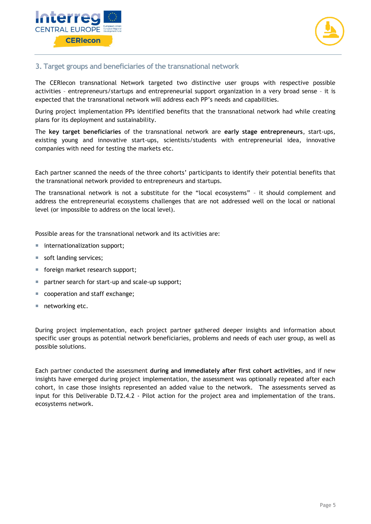



## <span id="page-4-0"></span>**3. Target groups and beneficiaries of the transnational network**

The CERIecon transnational Network targeted two distinctive user groups with respective possible activities – entrepreneurs/startups and entrepreneurial support organization in a very broad sense – it is expected that the transnational network will address each PP's needs and capabilities.

During project implementation PPs identified benefits that the transnational network had while creating plans for its deployment and sustainability.

The **key target beneficiaries** of the transnational network are **early stage entrepreneurs**, start-ups, existing young and innovative start-ups, scientists/students with entrepreneurial idea, innovative companies with need for testing the markets etc.

Each partner scanned the needs of the three cohorts' participants to identify their potential benefits that the transnational network provided to entrepreneurs and startups.

The transnational network is not a substitute for the "local ecosystems" – it should complement and address the entrepreneurial ecosystems challenges that are not addressed well on the local or national level (or impossible to address on the local level).

Possible areas for the transnational network and its activities are:

- internationalization support;
- soft landing services;
- foreign market research support;
- partner search for start-up and scale-up support;
- cooperation and staff exchange;
- networking etc.

During project implementation, each project partner gathered deeper insights and information about specific user groups as potential network beneficiaries, problems and needs of each user group, as well as possible solutions.

Each partner conducted the assessment **during and immediately after first cohort activities**, and if new insights have emerged during project implementation, the assessment was optionally repeated after each cohort, in case those insights represented an added value to the network. The assessments served as input for this Deliverable D.T2.4.2 - Pilot action for the project area and implementation of the trans. ecosystems network.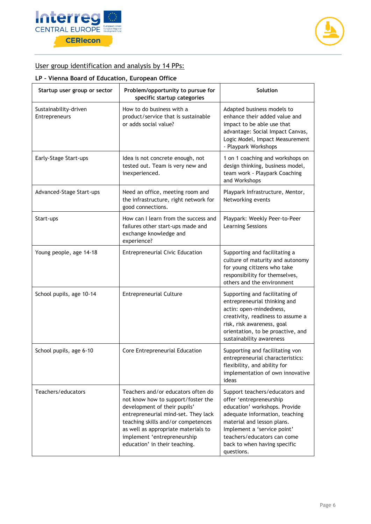



## User group identification and analysis by 14 PPs:

## **LP – Vienna Board of Education, European Office**

| Startup user group or sector           | Problem/opportunity to pursue for<br>specific startup categories                                                                                                                                                                                                                             | Solution                                                                                                                                                                                                                                                               |
|----------------------------------------|----------------------------------------------------------------------------------------------------------------------------------------------------------------------------------------------------------------------------------------------------------------------------------------------|------------------------------------------------------------------------------------------------------------------------------------------------------------------------------------------------------------------------------------------------------------------------|
| Sustainability-driven<br>Entrepreneurs | How to do business with a<br>product/service that is sustainable<br>or adds social value?                                                                                                                                                                                                    | Adapted business models to<br>enhance their added value and<br>impact to be able use that<br>advantage: Social Impact Canvas,<br>Logic Model, Impact Measurement<br>- Playpark Workshops                                                                               |
| Early-Stage Start-ups                  | Idea is not concrete enough, not<br>tested out. Team is very new and<br>inexperienced.                                                                                                                                                                                                       | 1 on 1 coaching and workshops on<br>design thinking, business model,<br>team work - Playpark Coaching<br>and Workshops                                                                                                                                                 |
| Advanced-Stage Start-ups               | Need an office, meeting room and<br>the infrastructure, right network for<br>good connections.                                                                                                                                                                                               | Playpark Infrastructure, Mentor,<br>Networking events                                                                                                                                                                                                                  |
| Start-ups                              | How can I learn from the success and<br>failures other start-ups made and<br>exchange knowledge and<br>experience?                                                                                                                                                                           | Playpark: Weekly Peer-to-Peer<br><b>Learning Sessions</b>                                                                                                                                                                                                              |
| Young people, age 14-18                | <b>Entrepreneurial Civic Education</b>                                                                                                                                                                                                                                                       | Supporting and facilitating a<br>culture of maturity and autonomy<br>for young citizens who take<br>responsibility for themselves,<br>others and the environment                                                                                                       |
| School pupils, age 10-14               | <b>Entrepreneurial Culture</b>                                                                                                                                                                                                                                                               | Supporting and facilitating of<br>entrepreneurial thinking and<br>actin: open-mindedness,<br>creativity, readiness to assume a<br>risk, risk awareness, goal<br>orientation, to be proactive, and<br>sustainability awareness                                          |
| School pupils, age 6-10                | Core Entrepreneurial Education                                                                                                                                                                                                                                                               | Supporting and facilitating von<br>entrepreneurial characteristics:<br>flexibility, and ability for<br>implementation of own innovative<br>ideas                                                                                                                       |
| Teachers/educators                     | Teachers and/or educators often do<br>not know how to support/foster the<br>development of their pupils'<br>entrepreneurial mind-set. They lack<br>teaching skills and/or competences<br>as well as appropriate materials to<br>implement 'entrepreneurship<br>education' in their teaching. | Support teachers/educators and<br>offer 'entrepreneurship<br>education' workshops. Provide<br>adequate information, teaching<br>material and lesson plans.<br>Implement a 'service point'<br>teachers/educators can come<br>back to when having specific<br>questions. |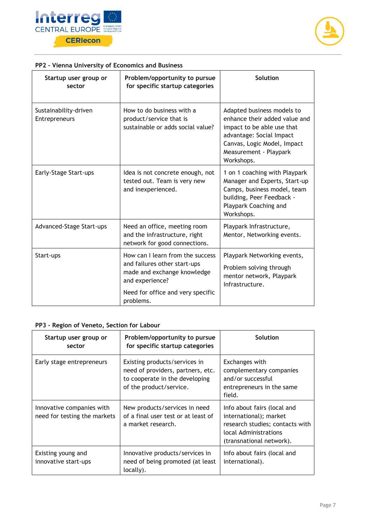



| Startup user group or<br>sector               | Problem/opportunity to pursue<br>for specific startup categories                                                                                                     | Solution                                                                                                                                                                                     |
|-----------------------------------------------|----------------------------------------------------------------------------------------------------------------------------------------------------------------------|----------------------------------------------------------------------------------------------------------------------------------------------------------------------------------------------|
| Sustainability-driven<br><b>Entrepreneurs</b> | How to do business with a<br>product/service that is<br>sustainable or adds social value?                                                                            | Adapted business models to<br>enhance their added value and<br>impact to be able use that<br>advantage: Social Impact<br>Canvas, Logic Model, Impact<br>Measurement - Playpark<br>Workshops. |
| Early-Stage Start-ups                         | Idea is not concrete enough, not<br>tested out. Team is very new<br>and inexperienced.                                                                               | 1 on 1 coaching with Playpark<br>Manager and Experts, Start-up<br>Camps, business model, team<br>building, Peer Feedback -<br>Playpark Coaching and<br>Workshops.                            |
| Advanced-Stage Start-ups                      | Need an office, meeting room<br>and the infrastructure, right<br>network for good connections.                                                                       | Playpark Infrastructure,<br>Mentor, Networking events.                                                                                                                                       |
| Start-ups                                     | How can I learn from the success<br>and failures other start-ups<br>made and exchange knowledge<br>and experience?<br>Need for office and very specific<br>problems. | Playpark Networking events,<br>Problem solving through<br>mentor network, Playpark<br>Infrastructure.                                                                                        |

#### **PP2 – Vienna University of Economics and Business**

#### **PP3 – Region of Veneto, Section for Labour**

| Startup user group or<br>sector                           | Problem/opportunity to pursue<br>for specific startup categories                                                                | Solution                                                                                                                                      |
|-----------------------------------------------------------|---------------------------------------------------------------------------------------------------------------------------------|-----------------------------------------------------------------------------------------------------------------------------------------------|
| Early stage entrepreneurs                                 | Existing products/services in<br>need of providers, partners, etc.<br>to cooperate in the developing<br>of the product/service. | Exchanges with<br>complementary companies<br>and/or successful<br>entrepreneurs in the same<br>field.                                         |
| Innovative companies with<br>need for testing the markets | New products/services in need<br>of a final user test or at least of<br>a market research.                                      | Info about fairs (local and<br>international); market<br>research studies; contacts with<br>local Administrations<br>(transnational network). |
| Existing young and<br>innovative start-ups                | Innovative products/services in<br>need of being promoted (at least<br>locally).                                                | Info about fairs (local and<br>international).                                                                                                |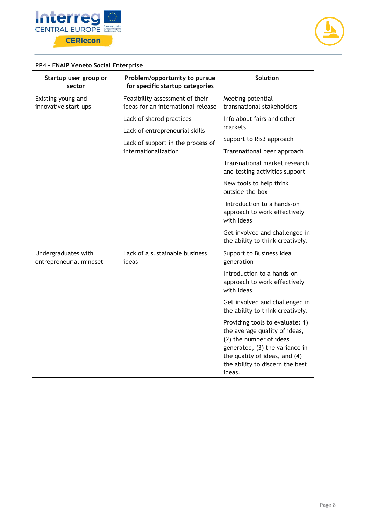



## **PP4 – ENAIP Veneto Social Enterprise**

| Startup user group or<br>sector                | Problem/opportunity to pursue<br>for specific startup categories      | Solution                                                                                                                                                                                                    |
|------------------------------------------------|-----------------------------------------------------------------------|-------------------------------------------------------------------------------------------------------------------------------------------------------------------------------------------------------------|
| Existing young and<br>innovative start-ups     | Feasibility assessment of their<br>ideas for an international release | Meeting potential<br>transnational stakeholders                                                                                                                                                             |
|                                                | Lack of shared practices<br>Lack of entrepreneurial skills            | Info about fairs and other<br>markets                                                                                                                                                                       |
|                                                | Lack of support in the process of                                     | Support to Ris3 approach                                                                                                                                                                                    |
|                                                | internationalization                                                  | Transnational peer approach                                                                                                                                                                                 |
|                                                |                                                                       | Transnational market research<br>and testing activities support                                                                                                                                             |
|                                                |                                                                       | New tools to help think<br>outside-the-box                                                                                                                                                                  |
|                                                |                                                                       | Introduction to a hands-on<br>approach to work effectively<br>with ideas                                                                                                                                    |
|                                                |                                                                       | Get involved and challenged in<br>the ability to think creatively.                                                                                                                                          |
| Undergraduates with<br>entrepreneurial mindset | Lack of a sustainable business<br>ideas                               | Support to Business idea<br>generation                                                                                                                                                                      |
|                                                |                                                                       | Introduction to a hands-on<br>approach to work effectively<br>with ideas                                                                                                                                    |
|                                                |                                                                       | Get involved and challenged in<br>the ability to think creatively.                                                                                                                                          |
|                                                |                                                                       | Providing tools to evaluate: 1)<br>the average quality of ideas,<br>(2) the number of ideas<br>generated, (3) the variance in<br>the quality of ideas, and (4)<br>the ability to discern the best<br>ideas. |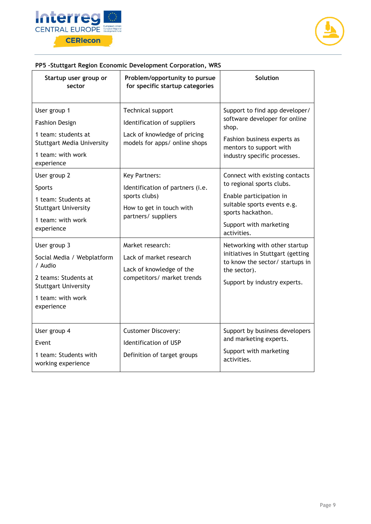



## **PP5 –Stuttgart Region Economic Development Corporation, WRS**

| Startup user group or<br>sector                                                                                                                 | Problem/opportunity to pursue<br>for specific startup categories                                                             | <b>Solution</b>                                                                                                                                                                     |
|-------------------------------------------------------------------------------------------------------------------------------------------------|------------------------------------------------------------------------------------------------------------------------------|-------------------------------------------------------------------------------------------------------------------------------------------------------------------------------------|
| User group 1<br><b>Fashion Design</b><br>1 team: students at<br><b>Stuttgart Media University</b><br>1 team: with work<br>experience            | Technical support<br>Identification of suppliers<br>Lack of knowledge of pricing<br>models for apps/ online shops            | Support to find app developer/<br>software developer for online<br>shop.<br>Fashion business experts as<br>mentors to support with<br>industry specific processes.                  |
| User group 2<br>Sports<br>1 team: Students at<br><b>Stuttgart University</b><br>1 team: with work<br>experience                                 | <b>Key Partners:</b><br>Identification of partners (i.e.<br>sports clubs)<br>How to get in touch with<br>partners/ suppliers | Connect with existing contacts<br>to regional sports clubs.<br>Enable participation in<br>suitable sports events e.g.<br>sports hackathon.<br>Support with marketing<br>activities. |
| User group 3<br>Social Media / Webplatform<br>/ Audio<br>2 teams: Students at<br><b>Stuttgart University</b><br>1 team: with work<br>experience | Market research:<br>Lack of market research<br>Lack of knowledge of the<br>competitors/ market trends                        | Networking with other startup<br>initiatives in Stuttgart (getting<br>to know the sector/ startups in<br>the sector).<br>Support by industry experts.                               |
| User group 4<br>Event<br>1 team: Students with<br>working experience                                                                            | <b>Customer Discovery:</b><br>Identification of USP<br>Definition of target groups                                           | Support by business developers<br>and marketing experts.<br>Support with marketing<br>activities.                                                                                   |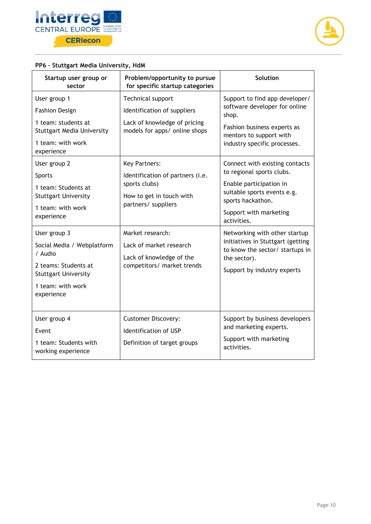



## **PP6 – Stuttgart Media University, HdM**

| Startup user group or<br>sector                                                                                                                                                                                      | Problem/opportunity to pursue<br>for specific startup categories                                                                                                                                                           | <b>Solution</b>                                                                                                                                                                                                                                                                             |
|----------------------------------------------------------------------------------------------------------------------------------------------------------------------------------------------------------------------|----------------------------------------------------------------------------------------------------------------------------------------------------------------------------------------------------------------------------|---------------------------------------------------------------------------------------------------------------------------------------------------------------------------------------------------------------------------------------------------------------------------------------------|
| User group 1<br><b>Fashion Design</b><br>1 team: students at<br><b>Stuttgart Media University</b><br>1 team: with work<br>experience<br>User group 2<br>Sports<br>1 team: Students at<br><b>Stuttgart University</b> | Technical support<br>Identification of suppliers<br>Lack of knowledge of pricing<br>models for apps/ online shops<br><b>Key Partners:</b><br>Identification of partners (i.e.<br>sports clubs)<br>How to get in touch with | Support to find app developer/<br>software developer for online<br>shop.<br>Fashion business experts as<br>mentors to support with<br>industry specific processes.<br>Connect with existing contacts<br>to regional sports clubs.<br>Enable participation in<br>suitable sports events e.g. |
| 1 team: with work<br>experience                                                                                                                                                                                      | partners/ suppliers                                                                                                                                                                                                        | sports hackathon.<br>Support with marketing<br>activities.                                                                                                                                                                                                                                  |
| User group 3<br>Social Media / Webplatform<br>/ Audio<br>2 teams: Students at<br><b>Stuttgart University</b><br>1 team: with work<br>experience                                                                      | Market research:<br>Lack of market research<br>Lack of knowledge of the<br>competitors/ market trends                                                                                                                      | Networking with other startup<br>initiatives in Stuttgart (getting<br>to know the sector/ startups in<br>the sector).<br>Support by industry experts                                                                                                                                        |
| User group 4<br>Event<br>1 team: Students with<br>working experience                                                                                                                                                 | <b>Customer Discovery:</b><br>Identification of USP<br>Definition of target groups                                                                                                                                         | Support by business developers<br>and marketing experts.<br>Support with marketing<br>activities.                                                                                                                                                                                           |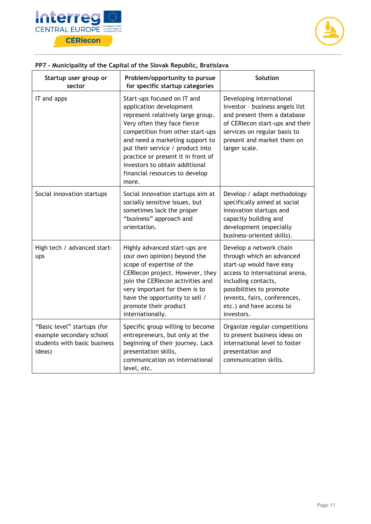



## **PP7 – Municipality of the Capital of the Slovak Republic, Bratislava**

| Startup user group or<br>sector                                                                   | Problem/opportunity to pursue<br>for specific startup categories                                                                                                                                                                                                                                                                                         | Solution                                                                                                                                                                                                                                        |
|---------------------------------------------------------------------------------------------------|----------------------------------------------------------------------------------------------------------------------------------------------------------------------------------------------------------------------------------------------------------------------------------------------------------------------------------------------------------|-------------------------------------------------------------------------------------------------------------------------------------------------------------------------------------------------------------------------------------------------|
| IT and apps                                                                                       | Start-ups focused on IT and<br>application development<br>represent relatively large group.<br>Very often they face fierce<br>competition from other start-ups<br>and need a marketing support to<br>put their service / product into<br>practice or present it in front of<br>investors to obtain additional<br>financial resources to develop<br>more. | Developing international<br>investor - business angels list<br>and present them a database<br>of CERIecon start-ups and their<br>services on regular basis to<br>present and market them on<br>larger scale.                                    |
| Social innovation startups                                                                        | Social innovation startups aim at<br>socially sensitive issues, but<br>sometimes lack the proper<br>"business" approach and<br>orientation.                                                                                                                                                                                                              | Develop / adapt methodology<br>specifically aimed at social<br>innovation startups and<br>capacity building and<br>development (especially<br>business-oriented skills).                                                                        |
| High tech / advanced start-<br>ups                                                                | Highly advanced start-ups are<br>(our own opinion) beyond the<br>scope of expertise of the<br>CERIecon project. However, they<br>join the CERIecon activities and<br>very important for them is to<br>have the opportunity to sell /<br>promote their product<br>internationally.                                                                        | Develop a network chain<br>through which an advanced<br>start-up would have easy<br>access to international arena,<br>including contacts,<br>possibilities to promote<br>(events, fairs, conferences,<br>etc.) and have access to<br>investors. |
| "Basic level" startups (for<br>example secondary school<br>students with basic business<br>ideas) | Specific group willing to become<br>entrepreneurs, but only at the<br>beginning of their journey. Lack<br>presentation skills,<br>communication on international<br>level, etc.                                                                                                                                                                          | Organize regular competitions<br>to present business ideas on<br>international level to foster<br>presentation and<br>communication skills.                                                                                                     |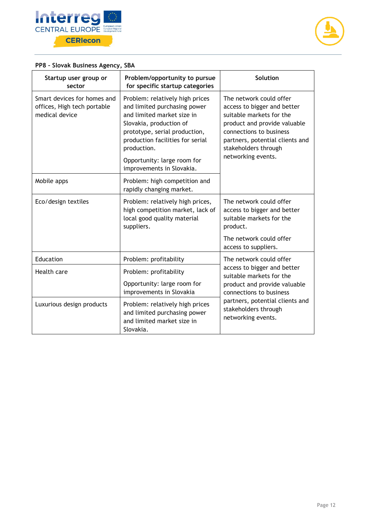



## **PP8 – Slovak Business Agency, SBA**

| Startup user group or<br>sector                                              | Problem/opportunity to pursue<br>for specific startup categories                                                                                                                                                                                                         | <b>Solution</b>                                                                                                                                                                                                                |
|------------------------------------------------------------------------------|--------------------------------------------------------------------------------------------------------------------------------------------------------------------------------------------------------------------------------------------------------------------------|--------------------------------------------------------------------------------------------------------------------------------------------------------------------------------------------------------------------------------|
| Smart devices for homes and<br>offices, High tech portable<br>medical device | Problem: relatively high prices<br>and limited purchasing power<br>and limited market size in<br>Slovakia, production of<br>prototype, serial production,<br>production facilities for serial<br>production.<br>Opportunity: large room for<br>improvements in Slovakia. | The network could offer<br>access to bigger and better<br>suitable markets for the<br>product and provide valuable<br>connections to business<br>partners, potential clients and<br>stakeholders through<br>networking events. |
| Mobile apps                                                                  | Problem: high competition and<br>rapidly changing market.                                                                                                                                                                                                                |                                                                                                                                                                                                                                |
| Eco/design textiles                                                          | Problem: relatively high prices,<br>high competition market, lack of<br>local good quality material<br>suppliers.                                                                                                                                                        | The network could offer<br>access to bigger and better<br>suitable markets for the<br>product.                                                                                                                                 |
|                                                                              |                                                                                                                                                                                                                                                                          | The network could offer<br>access to suppliers.                                                                                                                                                                                |
| Education                                                                    | Problem: profitability                                                                                                                                                                                                                                                   | The network could offer                                                                                                                                                                                                        |
| Health care                                                                  | Problem: profitability                                                                                                                                                                                                                                                   | access to bigger and better<br>suitable markets for the<br>product and provide valuable<br>connections to business<br>partners, potential clients and<br>stakeholders through<br>networking events.                            |
|                                                                              | Opportunity: large room for<br>improvements in Slovakia                                                                                                                                                                                                                  |                                                                                                                                                                                                                                |
| Luxurious design products                                                    | Problem: relatively high prices<br>and limited purchasing power<br>and limited market size in<br>Slovakia.                                                                                                                                                               |                                                                                                                                                                                                                                |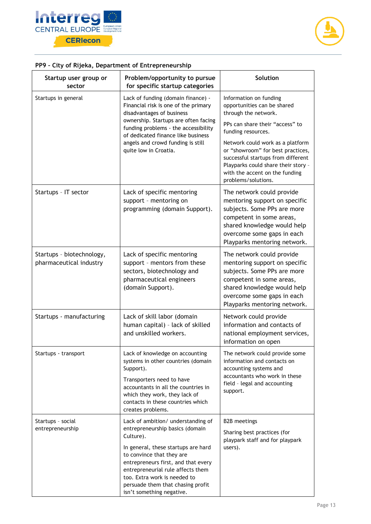



| Startup user group or<br>sector                      | Problem/opportunity to pursue<br>for specific startup categories                                                                                                                                                                                                                                                                     | <b>Solution</b>                                                                                                                                                                                                    |
|------------------------------------------------------|--------------------------------------------------------------------------------------------------------------------------------------------------------------------------------------------------------------------------------------------------------------------------------------------------------------------------------------|--------------------------------------------------------------------------------------------------------------------------------------------------------------------------------------------------------------------|
| Startups in general                                  | Lack of funding (domain finance) -<br>Financial risk is one of the primary<br>disadvantages of business                                                                                                                                                                                                                              | Information on funding<br>opportunities can be shared<br>through the network.                                                                                                                                      |
|                                                      | ownership. Startups are often facing<br>funding problems - the accessibility<br>of dedicated finance like business                                                                                                                                                                                                                   | PPs can share their "access" to<br>funding resources.                                                                                                                                                              |
|                                                      | angels and crowd funding is still<br>quite low in Croatia.                                                                                                                                                                                                                                                                           | Network could work as a platform<br>or "showroom" for best practices,<br>successful startups from different<br>Playparks could share their story -<br>with the accent on the funding<br>problems/solutions.        |
| Startups - IT sector                                 | Lack of specific mentoring<br>support - mentoring on<br>programming (domain Support).                                                                                                                                                                                                                                                | The network could provide<br>mentoring support on specific<br>subjects. Some PPs are more<br>competent in some areas,<br>shared knowledge would help<br>overcome some gaps in each<br>Playparks mentoring network. |
| Startups - biotechnology,<br>pharmaceutical industry | Lack of specific mentoring<br>support - mentors from these<br>sectors, biotechnology and<br>pharmaceutical engineers<br>(domain Support).                                                                                                                                                                                            | The network could provide<br>mentoring support on specific<br>subjects. Some PPs are more<br>competent in some areas,<br>shared knowledge would help<br>overcome some gaps in each<br>Playparks mentoring network. |
| Startups - manufacturing                             | Lack of skill labor (domain<br>human capital) - lack of skilled<br>and unskilled workers.                                                                                                                                                                                                                                            | Network could provide<br>information and contacts of<br>national employment services,<br>information on open                                                                                                       |
| Startups - transport                                 | Lack of knowledge on accounting<br>systems in other countries (domain<br>Support).<br>Transporters need to have<br>accountants in all the countries in<br>which they work, they lack of<br>contacts in these countries which<br>creates problems.                                                                                    | The network could provide some<br>information and contacts on<br>accounting systems and<br>accountants who work in these<br>field - legal and accounting<br>support.                                               |
| Startups - social<br>entrepreneurship                | Lack of ambition/ understanding of<br>entrepreneurship basics (domain<br>Culture).<br>In general, these startups are hard<br>to convince that they are<br>entrepreneurs first, and that every<br>entrepreneurial rule affects them<br>too. Extra work is needed to<br>persuade them that chasing profit<br>isn't something negative. | <b>B2B</b> meetings<br>Sharing best practices (for<br>playpark staff and for playpark<br>users).                                                                                                                   |

#### **PP9 – City of Rijeka, Department of Entrepreneurship**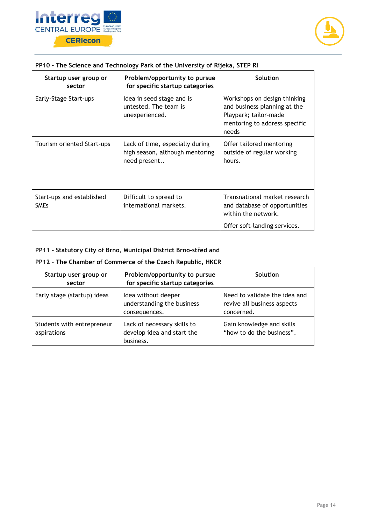



| Startup user group or<br>sector          | Problem/opportunity to pursue<br>for specific startup categories                   | Solution                                                                                                                        |
|------------------------------------------|------------------------------------------------------------------------------------|---------------------------------------------------------------------------------------------------------------------------------|
| Early-Stage Start-ups                    | Idea in seed stage and is<br>untested. The team is<br>unexperienced.               | Workshops on design thinking<br>and business planning at the<br>Playpark; tailor-made<br>mentoring to address specific<br>needs |
| Tourism oriented Start-ups               | Lack of time, especially during<br>high season, although mentoring<br>need present | Offer tailored mentoring<br>outside of regular working<br>hours.                                                                |
| Start-ups and established<br><b>SMEs</b> | Difficult to spread to<br>international markets.                                   | Transnational market research<br>and database of opportunities<br>within the network.<br>Offer soft-landing services.           |

#### **PP10 – The Science and Technology Park of the University of Rijeka, STEP RI**

#### **PP11 – Statutory City of Brno, Municipal District Brno-střed and**

#### **PP12 – The Chamber of Commerce of the Czech Republic, HKCR**

| Startup user group or<br>sector           | Problem/opportunity to pursue<br>for specific startup categories       | Solution                                                                   |
|-------------------------------------------|------------------------------------------------------------------------|----------------------------------------------------------------------------|
| Early stage (startup) ideas               | Idea without deeper<br>understanding the business<br>consequences.     | Need to validate the idea and<br>revive all business aspects<br>concerned. |
| Students with entrepreneur<br>aspirations | Lack of necessary skills to<br>develop idea and start the<br>business. | Gain knowledge and skills<br>"how to do the business".                     |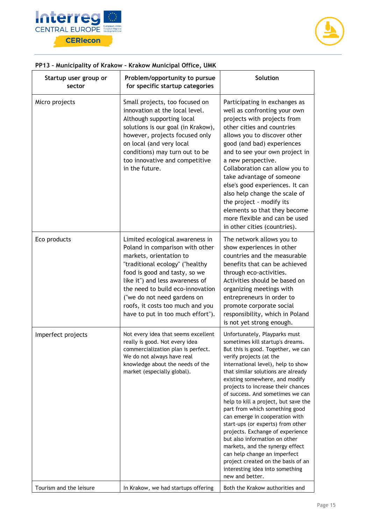



## **PP13 – Municipality of Krakow – Krakow Municipal Office, UMK**

| Startup user group or<br>sector | Problem/opportunity to pursue<br>for specific startup categories                                                                                                                                                                                                                                                                                 | Solution                                                                                                                                                                                                                                                                                                                                                                                                                                                                                                                                                                                                                                                                                                        |
|---------------------------------|--------------------------------------------------------------------------------------------------------------------------------------------------------------------------------------------------------------------------------------------------------------------------------------------------------------------------------------------------|-----------------------------------------------------------------------------------------------------------------------------------------------------------------------------------------------------------------------------------------------------------------------------------------------------------------------------------------------------------------------------------------------------------------------------------------------------------------------------------------------------------------------------------------------------------------------------------------------------------------------------------------------------------------------------------------------------------------|
| Micro projects                  | Small projects, too focused on<br>innovation at the local level.<br>Although supporting local<br>solutions is our goal (in Krakow),<br>however, projects focused only<br>on local (and very local<br>conditions) may turn out to be<br>too innovative and competitive<br>in the future.                                                          | Participating in exchanges as<br>well as confronting your own<br>projects with projects from<br>other cities and countries<br>allows you to discover other<br>good (and bad) experiences<br>and to see your own project in<br>a new perspective.<br>Collaboration can allow you to<br>take advantage of someone<br>else's good experiences. It can<br>also help change the scale of<br>the project - modify its<br>elements so that they become<br>more flexible and can be used<br>in other cities (countries).                                                                                                                                                                                                |
| Eco products                    | Limited ecological awareness in<br>Poland in comparison with other<br>markets, orientation to<br>"traditional ecology" ("healthy<br>food is good and tasty, so we<br>like it") and less awareness of<br>the need to build eco-innovation<br>("we do not need gardens on<br>roofs, it costs too much and you<br>have to put in too much effort"). | The network allows you to<br>show experiences in other<br>countries and the measurable<br>benefits that can be achieved<br>through eco-activities.<br>Activities should be based on<br>organizing meetings with<br>entrepreneurs in order to<br>promote corporate social<br>responsibility, which in Poland<br>is not yet strong enough.                                                                                                                                                                                                                                                                                                                                                                        |
| Imperfect projects              | Not every idea that seems excellent<br>really is good. Not every idea<br>commercialization plan is perfect.<br>We do not always have real<br>knowledge about the needs of the<br>market (especially global).                                                                                                                                     | Unfortunately, Playparks must<br>sometimes kill startup's dreams.<br>But this is good. Together, we can<br>verify projects (at the<br>international level), help to show<br>that similar solutions are already<br>existing somewhere, and modify<br>projects to increase their chances<br>of success. And sometimes we can<br>help to kill a project, but save the<br>part from which something good<br>can emerge in cooperation with<br>start-ups (or experts) from other<br>projects. Exchange of experience<br>but also information on other<br>markets, and the synergy effect<br>can help change an imperfect<br>project created on the basis of an<br>interesting idea into something<br>new and better. |
| Tourism and the leisure         | In Krakow, we had startups offering                                                                                                                                                                                                                                                                                                              | Both the Krakow authorities and                                                                                                                                                                                                                                                                                                                                                                                                                                                                                                                                                                                                                                                                                 |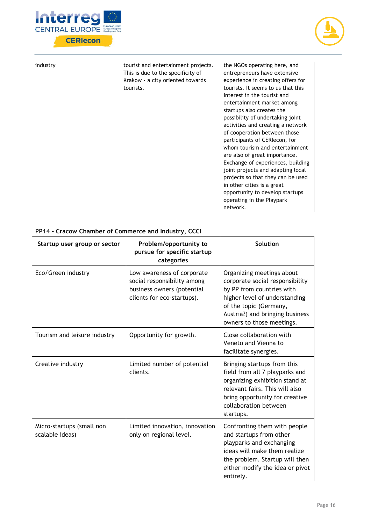



| industry | tourist and entertainment projects. | the NGOs operating here, and       |
|----------|-------------------------------------|------------------------------------|
|          | This is due to the specificity of   | entrepreneurs have extensive       |
|          | Krakow - a city oriented towards    | experience in creating offers for  |
|          | tourists.                           | tourists. It seems to us that this |
|          |                                     | interest in the tourist and        |
|          |                                     | entertainment market among         |
|          |                                     | startups also creates the          |
|          |                                     | possibility of undertaking joint   |
|          |                                     | activities and creating a network  |
|          |                                     | of cooperation between those       |
|          |                                     | participants of CERIecon, for      |
|          |                                     | whom tourism and entertainment     |
|          |                                     | are also of great importance.      |
|          |                                     | Exchange of experiences, building  |
|          |                                     | joint projects and adapting local  |
|          |                                     | projects so that they can be used  |
|          |                                     | in other cities is a great         |
|          |                                     | opportunity to develop startups    |
|          |                                     | operating in the Playpark          |
|          |                                     | network.                           |

## **PP14 – Cracow Chamber of Commerce and Industry, CCCI**

| Startup user group or sector                 | Problem/opportunity to<br>pursue for specific startup<br>categories                                                   | <b>Solution</b>                                                                                                                                                                                                      |
|----------------------------------------------|-----------------------------------------------------------------------------------------------------------------------|----------------------------------------------------------------------------------------------------------------------------------------------------------------------------------------------------------------------|
| Eco/Green industry                           | Low awareness of corporate<br>social responsibility among<br>business owners (potential<br>clients for eco-startups). | Organizing meetings about<br>corporate social responsibility<br>by PP from countries with<br>higher level of understanding<br>of the topic (Germany,<br>Austria?) and bringing business<br>owners to those meetings. |
| Tourism and leisure industry                 | Opportunity for growth.                                                                                               | Close collaboration with<br>Veneto and Vienna to<br>facilitate synergies.                                                                                                                                            |
| Creative industry                            | Limited number of potential<br>clients.                                                                               | Bringing startups from this<br>field from all 7 playparks and<br>organizing exhibition stand at<br>relevant fairs. This will also<br>bring opportunity for creative<br>collaboration between<br>startups.            |
| Micro-startups (small non<br>scalable ideas) | Limited innovation, innovation<br>only on regional level.                                                             | Confronting them with people<br>and startups from other<br>playparks and exchanging<br>ideas will make them realize<br>the problem. Startup will then<br>either modify the idea or pivot<br>entirely.                |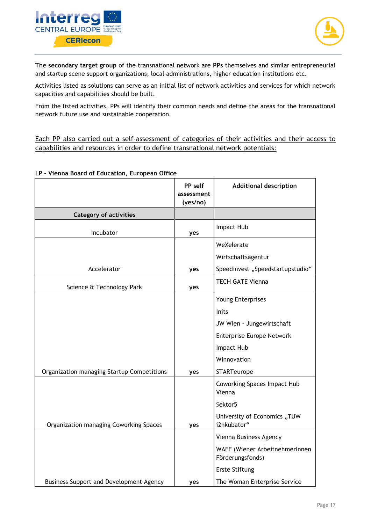



**The secondary target group** of the transnational network are **PPs** themselves and similar entrepreneurial and startup scene support organizations, local administrations, higher education institutions etc.

Activities listed as solutions can serve as an initial list of network activities and services for which network capacities and capabilities should be built.

From the listed activities, PPs will identify their common needs and define the areas for the transnational network future use and sustainable cooperation.

Each PP also carried out a self-assessment of categories of their activities and their access to capabilities and resources in order to define transnational network potentials:

#### **LP – Vienna Board of Education, European Office**

|                                            | PP self<br>assessment<br>(yes/no) | <b>Additional description</b>                      |
|--------------------------------------------|-----------------------------------|----------------------------------------------------|
| <b>Category of activities</b>              |                                   |                                                    |
| Incubator                                  | yes                               | Impact Hub                                         |
|                                            |                                   | WeXelerate                                         |
|                                            |                                   | Wirtschaftsagentur                                 |
| Accelerator                                | yes                               | Speedinvest "Speedstartupstudio"                   |
| Science & Technology Park                  | yes                               | <b>TECH GATE Vienna</b>                            |
|                                            |                                   | Young Enterprises                                  |
|                                            |                                   | Inits                                              |
|                                            |                                   | JW Wien - Jungewirtschaft                          |
|                                            |                                   | Enterprise Europe Network                          |
|                                            |                                   | Impact Hub                                         |
|                                            |                                   | Winnovation                                        |
| Organization managing Startup Competitions | yes                               | <b>STARTeurope</b>                                 |
|                                            |                                   | Coworking Spaces Impact Hub<br>Vienna              |
|                                            |                                   | Sektor5                                            |
| Organization managing Coworking Spaces     | yes                               | University of Economics "TUW<br>i2nkubator"        |
|                                            |                                   | Vienna Business Agency                             |
|                                            |                                   | WAFF (Wiener ArbeitnehmerInnen<br>Förderungsfonds) |
|                                            |                                   | <b>Erste Stiftung</b>                              |
| Business Support and Development Agency    | yes                               | The Woman Enterprise Service                       |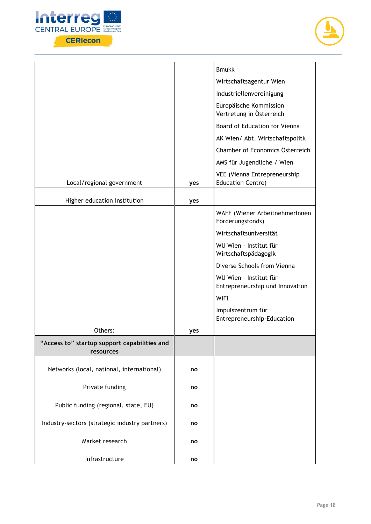



|                                                           |     | <b>Bmukk</b>                                              |
|-----------------------------------------------------------|-----|-----------------------------------------------------------|
|                                                           |     | Wirtschaftsagentur Wien                                   |
|                                                           |     | Industriellenvereinigung                                  |
|                                                           |     | Europäische Kommission<br>Vertretung in Österreich        |
|                                                           |     | Board of Education for Vienna                             |
|                                                           |     | AK Wien/ Abt. Wirtschaftspolitk                           |
|                                                           |     | Chamber of Economics Österreich                           |
|                                                           |     | AMS für Jugendliche / Wien                                |
| Local/regional government                                 | yes | VEE (Vienna Entrepreneurship<br><b>Education Centre)</b>  |
|                                                           |     |                                                           |
| Higher education institution                              | yes |                                                           |
|                                                           |     | WAFF (Wiener ArbeitnehmerInnen<br>Förderungsfonds)        |
|                                                           |     | Wirtschaftsuniversität                                    |
|                                                           |     | WU Wien - Institut für<br>Wirtschaftspädagogik            |
|                                                           |     | Diverse Schools from Vienna                               |
|                                                           |     | WU Wien - Institut für<br>Entrepreneurship und Innovation |
|                                                           |     | <b>WIFI</b>                                               |
|                                                           |     | Impulszentrum für                                         |
|                                                           |     | Entrepreneurship-Education                                |
| Others:                                                   | yes |                                                           |
| "Access to" startup support capabilities and<br>resources |     |                                                           |
| Networks (local, national, international)                 | no  |                                                           |
| Private funding                                           | no  |                                                           |
| Public funding (regional, state, EU)                      | no  |                                                           |
| Industry-sectors (strategic industry partners)            | no  |                                                           |
| Market research                                           | no  |                                                           |
| Infrastructure                                            | no  |                                                           |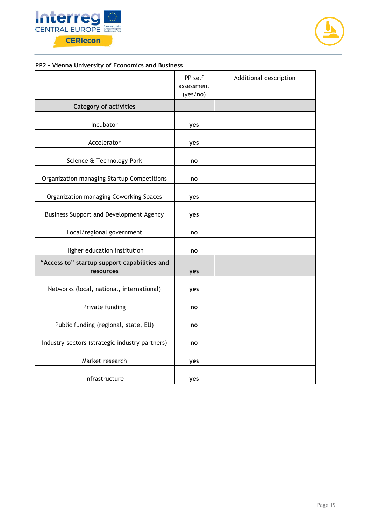



## **PP2 – Vienna University of Economics and Business**

|                                                           | PP self<br>assessment<br>(yes/no) | Additional description |
|-----------------------------------------------------------|-----------------------------------|------------------------|
| <b>Category of activities</b>                             |                                   |                        |
| Incubator                                                 | yes                               |                        |
| Accelerator                                               | yes                               |                        |
| Science & Technology Park                                 | no                                |                        |
| Organization managing Startup Competitions                | no                                |                        |
| Organization managing Coworking Spaces                    | yes                               |                        |
| Business Support and Development Agency                   | yes                               |                        |
| Local/regional government                                 | no                                |                        |
| Higher education institution                              | no                                |                        |
| "Access to" startup support capabilities and<br>resources | yes                               |                        |
| Networks (local, national, international)                 | yes                               |                        |
| Private funding                                           | no                                |                        |
| Public funding (regional, state, EU)                      | no                                |                        |
| Industry-sectors (strategic industry partners)            | no                                |                        |
| Market research                                           | yes                               |                        |
| Infrastructure                                            | yes                               |                        |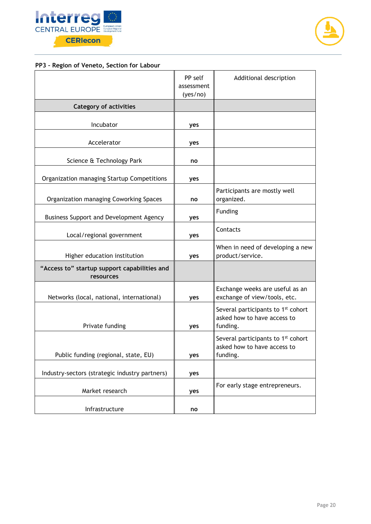



## **PP3 – Region of Veneto, Section for Labour**

|                                                           | PP self<br>assessment<br>(yes/no) | Additional description                                                                    |
|-----------------------------------------------------------|-----------------------------------|-------------------------------------------------------------------------------------------|
| <b>Category of activities</b>                             |                                   |                                                                                           |
| Incubator                                                 | yes                               |                                                                                           |
| Accelerator                                               | yes                               |                                                                                           |
| Science & Technology Park                                 | no                                |                                                                                           |
| Organization managing Startup Competitions                | yes                               |                                                                                           |
| Organization managing Coworking Spaces                    | no                                | Participants are mostly well<br>organized.                                                |
| Business Support and Development Agency                   | yes                               | Funding                                                                                   |
| Local/regional government                                 | yes                               | Contacts                                                                                  |
| Higher education institution                              | yes                               | When in need of developing a new<br>product/service.                                      |
| "Access to" startup support capabilities and<br>resources |                                   |                                                                                           |
| Networks (local, national, international)                 | yes                               | Exchange weeks are useful as an<br>exchange of view/tools, etc.                           |
| Private funding                                           | yes                               | Several participants to 1 <sup>st</sup> cohort<br>asked how to have access to<br>funding. |
| Public funding (regional, state, EU)                      | yes                               | Several participants to 1 <sup>st</sup> cohort<br>asked how to have access to<br>funding. |
| Industry-sectors (strategic industry partners)            | yes                               |                                                                                           |
| Market research                                           | yes                               | For early stage entrepreneurs.                                                            |
| Infrastructure                                            | no                                |                                                                                           |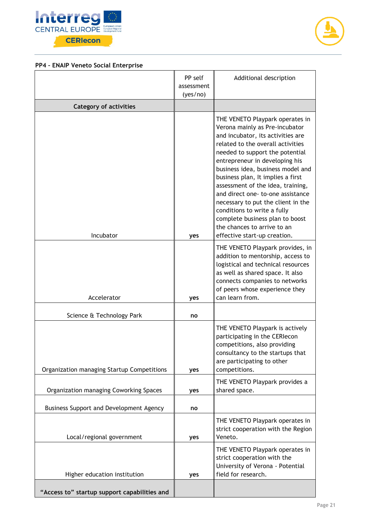



## **PP4 – ENAIP Veneto Social Enterprise**

|                                              | PP self<br>assessment<br>(yes/no) | Additional description                                                                                                                                                                                                                                                                                                                                                                                                                                                                                                                      |
|----------------------------------------------|-----------------------------------|---------------------------------------------------------------------------------------------------------------------------------------------------------------------------------------------------------------------------------------------------------------------------------------------------------------------------------------------------------------------------------------------------------------------------------------------------------------------------------------------------------------------------------------------|
| <b>Category of activities</b>                |                                   |                                                                                                                                                                                                                                                                                                                                                                                                                                                                                                                                             |
| Incubator                                    | yes                               | THE VENETO Playpark operates in<br>Verona mainly as Pre-incubator<br>and incubator, its activities are<br>related to the overall activities<br>needed to support the potential<br>entrepreneur in developing his<br>business idea, business model and<br>business plan, It implies a first<br>assessment of the idea, training,<br>and direct one- to-one assistance<br>necessary to put the client in the<br>conditions to write a fully<br>complete business plan to boost<br>the chances to arrive to an<br>effective start-up creation. |
| Accelerator                                  | yes                               | THE VENETO Playpark provides, in<br>addition to mentorship, access to<br>logistical and technical resources<br>as well as shared space. It also<br>connects companies to networks<br>of peers whose experience they<br>can learn from.                                                                                                                                                                                                                                                                                                      |
| Science & Technology Park                    | no                                |                                                                                                                                                                                                                                                                                                                                                                                                                                                                                                                                             |
| Organization managing Startup Competitions   | yes                               | THE VENETO Playpark is actively<br>participating in the CERIecon<br>competitions, also providing<br>consultancy to the startups that<br>are participating to other<br>competitions.                                                                                                                                                                                                                                                                                                                                                         |
| Organization managing Coworking Spaces       | yes                               | THE VENETO Playpark provides a<br>shared space.                                                                                                                                                                                                                                                                                                                                                                                                                                                                                             |
| Business Support and Development Agency      | no                                |                                                                                                                                                                                                                                                                                                                                                                                                                                                                                                                                             |
| Local/regional government                    | yes                               | THE VENETO Playpark operates in<br>strict cooperation with the Region<br>Veneto.                                                                                                                                                                                                                                                                                                                                                                                                                                                            |
| Higher education institution                 | yes                               | THE VENETO Playpark operates in<br>strict cooperation with the<br>University of Verona - Potential<br>field for research.                                                                                                                                                                                                                                                                                                                                                                                                                   |
| "Access to" startup support capabilities and |                                   |                                                                                                                                                                                                                                                                                                                                                                                                                                                                                                                                             |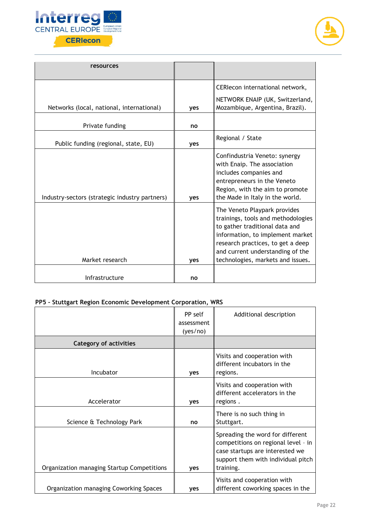



| resources                                      |     |                                                                                                                                                                                                                                                        |
|------------------------------------------------|-----|--------------------------------------------------------------------------------------------------------------------------------------------------------------------------------------------------------------------------------------------------------|
|                                                |     | CERIecon international network,                                                                                                                                                                                                                        |
| Networks (local, national, international)      | yes | NETWORK ENAIP (UK, Switzerland,<br>Mozambique, Argentina, Brazil).                                                                                                                                                                                     |
| Private funding                                | no  |                                                                                                                                                                                                                                                        |
| Public funding (regional, state, EU)           | yes | Regional / State                                                                                                                                                                                                                                       |
| Industry-sectors (strategic industry partners) | yes | Confindustria Veneto: synergy<br>with Enaip. The association<br>includes companies and<br>entrepreneurs in the Veneto<br>Region, with the aim to promote<br>the Made in Italy in the world.                                                            |
| Market research                                | yes | The Veneto Playpark provides<br>trainings, tools and methodologies<br>to gather traditional data and<br>information, to implement market<br>research practices, to get a deep<br>and current understanding of the<br>technologies, markets and issues. |
| Infrastructure                                 | no  |                                                                                                                                                                                                                                                        |

## **PP5 – Stuttgart Region Economic Development Corporation, WRS**

|                                            | PP self<br>assessment<br>(yes/no) | Additional description                                                                                                                                        |
|--------------------------------------------|-----------------------------------|---------------------------------------------------------------------------------------------------------------------------------------------------------------|
| <b>Category of activities</b>              |                                   |                                                                                                                                                               |
| Incubator                                  | <b>ves</b>                        | Visits and cooperation with<br>different incubators in the<br>regions.                                                                                        |
| Accelerator                                | ves                               | Visits and cooperation with<br>different accelerators in the<br>regions.                                                                                      |
| Science & Technology Park                  | no                                | There is no such thing in<br>Stuttgart.                                                                                                                       |
| Organization managing Startup Competitions | yes                               | Spreading the word for different<br>competitions on regional level - in<br>case startups are interested we<br>support them with individual pitch<br>training. |
| Organization managing Coworking Spaces     | <b>ves</b>                        | Visits and cooperation with<br>different coworking spaces in the                                                                                              |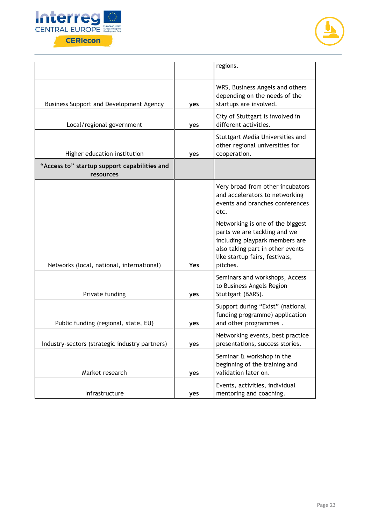



|                                                           |            | regions.                                                                                                                                                                             |
|-----------------------------------------------------------|------------|--------------------------------------------------------------------------------------------------------------------------------------------------------------------------------------|
| Business Support and Development Agency                   | yes        | WRS, Business Angels and others<br>depending on the needs of the<br>startups are involved.                                                                                           |
| Local/regional government                                 | yes        | City of Stuttgart is involved in<br>different activities.                                                                                                                            |
| Higher education institution                              | yes        | Stuttgart Media Universities and<br>other regional universities for<br>cooperation.                                                                                                  |
| "Access to" startup support capabilities and<br>resources |            |                                                                                                                                                                                      |
|                                                           |            | Very broad from other incubators<br>and accelerators to networking<br>events and branches conferences<br>etc.                                                                        |
| Networks (local, national, international)                 | <b>Yes</b> | Networking is one of the biggest<br>parts we are tackling and we<br>including playpark members are<br>also taking part in other events<br>like startup fairs, festivals,<br>pitches. |
| Private funding                                           | yes        | Seminars and workshops, Access<br>to Business Angels Region<br>Stuttgart (BARS).                                                                                                     |
| Public funding (regional, state, EU)                      | yes        | Support during "Exist" (national<br>funding programme) application<br>and other programmes.                                                                                          |
| Industry-sectors (strategic industry partners)            | yes        | Networking events, best practice<br>presentations, success stories.                                                                                                                  |
| Market research                                           | yes        | Seminar & workshop in the<br>beginning of the training and<br>validation later on.                                                                                                   |
| Infrastructure                                            | yes        | Events, activities, individual<br>mentoring and coaching.                                                                                                                            |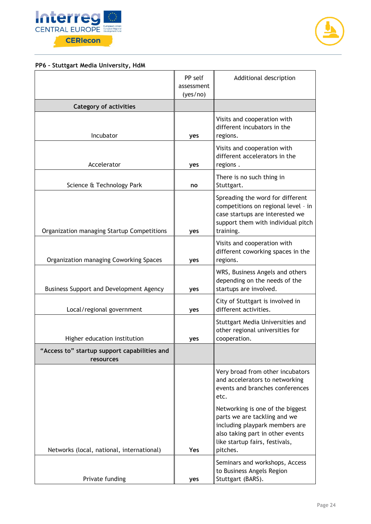



## **PP6 – Stuttgart Media University, HdM**

|                                                           | PP self<br>assessment<br>(yes/no) | Additional description                                                                                                                                                               |
|-----------------------------------------------------------|-----------------------------------|--------------------------------------------------------------------------------------------------------------------------------------------------------------------------------------|
| <b>Category of activities</b>                             |                                   |                                                                                                                                                                                      |
| Incubator                                                 | yes                               | Visits and cooperation with<br>different incubators in the<br>regions.                                                                                                               |
| Accelerator                                               | yes                               | Visits and cooperation with<br>different accelerators in the<br>regions.                                                                                                             |
| Science & Technology Park                                 | no                                | There is no such thing in<br>Stuttgart.                                                                                                                                              |
| Organization managing Startup Competitions                | yes                               | Spreading the word for different<br>competitions on regional level - in<br>case startups are interested we<br>support them with individual pitch<br>training.                        |
| Organization managing Coworking Spaces                    | yes                               | Visits and cooperation with<br>different coworking spaces in the<br>regions.                                                                                                         |
| Business Support and Development Agency                   | yes                               | WRS, Business Angels and others<br>depending on the needs of the<br>startups are involved.                                                                                           |
| Local/regional government                                 | yes                               | City of Stuttgart is involved in<br>different activities.                                                                                                                            |
| Higher education institution                              | yes                               | Stuttgart Media Universities and<br>other regional universities for<br>cooperation.                                                                                                  |
| 'Access to" startup support capabilities and<br>resources |                                   |                                                                                                                                                                                      |
|                                                           |                                   | Very broad from other incubators<br>and accelerators to networking<br>events and branches conferences<br>etc.                                                                        |
| Networks (local, national, international)                 | <b>Yes</b>                        | Networking is one of the biggest<br>parts we are tackling and we<br>including playpark members are<br>also taking part in other events<br>like startup fairs, festivals,<br>pitches. |
| Private funding                                           | yes                               | Seminars and workshops, Access<br>to Business Angels Region<br>Stuttgart (BARS).                                                                                                     |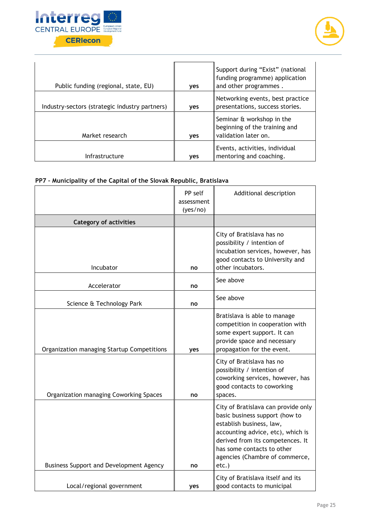



| Public funding (regional, state, EU)           | <b>ves</b> | Support during "Exist" (national<br>funding programme) application<br>and other programmes. |
|------------------------------------------------|------------|---------------------------------------------------------------------------------------------|
| Industry-sectors (strategic industry partners) | yes        | Networking events, best practice<br>presentations, success stories.                         |
| Market research                                | yes        | Seminar & workshop in the<br>beginning of the training and<br>validation later on.          |
| Infrastructure                                 | <b>ves</b> | Events, activities, individual<br>mentoring and coaching.                                   |

#### **PP7 – Municipality of the Capital of the Slovak Republic, Bratislava**

|                                            | PP self    | Additional description                                                                                                                                                                                                                              |
|--------------------------------------------|------------|-----------------------------------------------------------------------------------------------------------------------------------------------------------------------------------------------------------------------------------------------------|
|                                            | assessment |                                                                                                                                                                                                                                                     |
|                                            | (yes/no)   |                                                                                                                                                                                                                                                     |
| <b>Category of activities</b>              |            |                                                                                                                                                                                                                                                     |
| Incubator                                  | no         | City of Bratislava has no<br>possibility / intention of<br>incubation services, however, has<br>good contacts to University and<br>other incubators.                                                                                                |
| Accelerator                                | no         | See above                                                                                                                                                                                                                                           |
| Science & Technology Park                  | no         | See above                                                                                                                                                                                                                                           |
| Organization managing Startup Competitions | yes        | Bratislava is able to manage<br>competition in cooperation with<br>some expert support. It can<br>provide space and necessary<br>propagation for the event.                                                                                         |
| Organization managing Coworking Spaces     | no         | City of Bratislava has no<br>possibility / intention of<br>coworking services, however, has<br>good contacts to coworking<br>spaces.                                                                                                                |
| Business Support and Development Agency    | no         | City of Bratislava can provide only<br>basic business support (how to<br>establish business, law,<br>accounting advice, etc), which is<br>derived from its competences. It<br>has some contacts to other<br>agencies (Chambre of commerce,<br>etc.) |
| Local/regional government                  | <b>ves</b> | City of Bratislava itself and its<br>good contacts to municipal                                                                                                                                                                                     |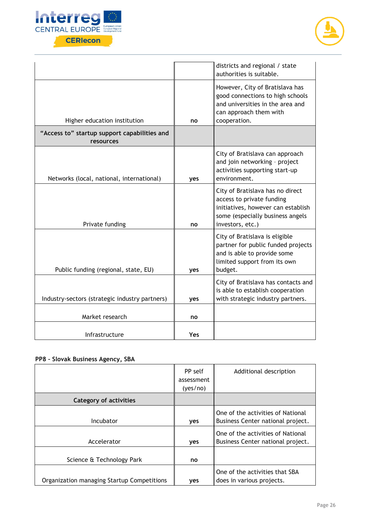



|                                                           |     | districts and regional / state<br>authorities is suitable.                                                                                                  |
|-----------------------------------------------------------|-----|-------------------------------------------------------------------------------------------------------------------------------------------------------------|
| Higher education institution                              | no  | However, City of Bratislava has<br>good connections to high schools<br>and universities in the area and<br>can approach them with<br>cooperation.           |
| "Access to" startup support capabilities and<br>resources |     |                                                                                                                                                             |
| Networks (local, national, international)                 | yes | City of Bratislava can approach<br>and join networking - project<br>activities supporting start-up<br>environment.                                          |
| Private funding                                           | no  | City of Bratislava has no direct<br>access to private funding<br>initiatives, however can establish<br>some (especially business angels<br>investors, etc.) |
| Public funding (regional, state, EU)                      | yes | City of Bratislava is eligible<br>partner for public funded projects<br>and is able to provide some<br>limited support from its own<br>budget.              |
| Industry-sectors (strategic industry partners)            | yes | City of Bratislava has contacts and<br>is able to establish cooperation<br>with strategic industry partners.                                                |
| Market research                                           | no  |                                                                                                                                                             |
| Infrastructure                                            | Yes |                                                                                                                                                             |

## **PP8 – Slovak Business Agency, SBA**

|                                            | PP self<br>assessment<br>(yes/no) | Additional description                                                 |
|--------------------------------------------|-----------------------------------|------------------------------------------------------------------------|
| <b>Category of activities</b>              |                                   |                                                                        |
| Incubator                                  | yes                               | One of the activities of National<br>Business Center national project. |
| Accelerator                                | yes                               | One of the activities of National<br>Business Center national project. |
| Science & Technology Park                  | no                                |                                                                        |
| Organization managing Startup Competitions | <b>ves</b>                        | One of the activities that SBA<br>does in various projects.            |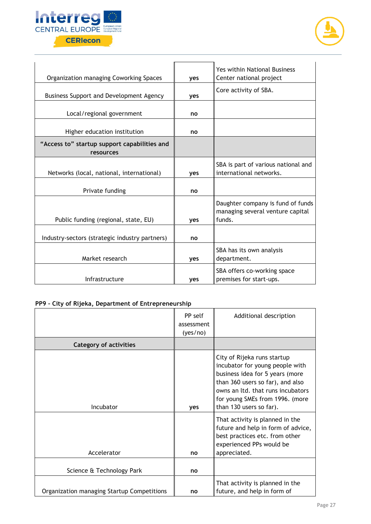



| Organization managing Coworking Spaces                    | yes        | Yes within National Business<br>Center national project                         |
|-----------------------------------------------------------|------------|---------------------------------------------------------------------------------|
| Business Support and Development Agency                   | yes        | Core activity of SBA.                                                           |
| Local/regional government                                 | no         |                                                                                 |
| Higher education institution                              | no         |                                                                                 |
| "Access to" startup support capabilities and<br>resources |            |                                                                                 |
| Networks (local, national, international)                 | yes        | SBA is part of various national and<br>international networks.                  |
| Private funding                                           | no         |                                                                                 |
| Public funding (regional, state, EU)                      | yes        | Daughter company is fund of funds<br>managing several venture capital<br>funds. |
| Industry-sectors (strategic industry partners)            | no         |                                                                                 |
| Market research                                           | yes        | SBA has its own analysis<br>department.                                         |
| Infrastructure                                            | <b>ves</b> | SBA offers co-working space<br>premises for start-ups.                          |

## **PP9 – City of Rijeka, Department of Entrepreneurship**

|                                            | PP self<br>assessment<br>(yes/no) | Additional description                                                                                                                                                                                                                   |
|--------------------------------------------|-----------------------------------|------------------------------------------------------------------------------------------------------------------------------------------------------------------------------------------------------------------------------------------|
| <b>Category of activities</b>              |                                   |                                                                                                                                                                                                                                          |
| Incubator                                  | <b>ves</b>                        | City of Rijeka runs startup<br>incubator for young people with<br>business idea for 5 years (more<br>than 360 users so far), and also<br>owns an ltd. that runs incubators<br>for young SMEs from 1996. (more<br>than 130 users so far). |
| Accelerator                                | no                                | That activity is planned in the<br>future and help in form of advice,<br>best practices etc. from other<br>experienced PPs would be<br>appreciated.                                                                                      |
| Science & Technology Park                  | no                                |                                                                                                                                                                                                                                          |
| Organization managing Startup Competitions | no                                | That activity is planned in the<br>future, and help in form of                                                                                                                                                                           |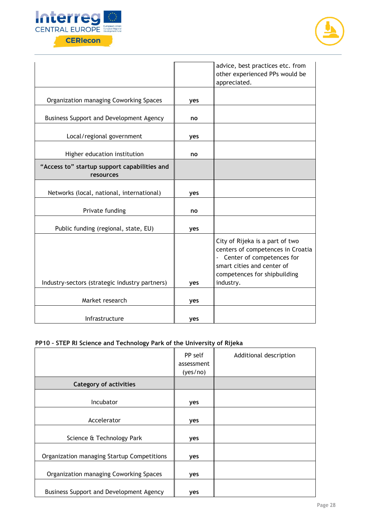



|                                                           |     | advice, best practices etc. from<br>other experienced PPs would be<br>appreciated.                                                                                             |
|-----------------------------------------------------------|-----|--------------------------------------------------------------------------------------------------------------------------------------------------------------------------------|
| Organization managing Coworking Spaces                    | yes |                                                                                                                                                                                |
| Business Support and Development Agency                   | no  |                                                                                                                                                                                |
| Local/regional government                                 | yes |                                                                                                                                                                                |
| Higher education institution                              | no  |                                                                                                                                                                                |
| "Access to" startup support capabilities and<br>resources |     |                                                                                                                                                                                |
| Networks (local, national, international)                 | yes |                                                                                                                                                                                |
| Private funding                                           | no  |                                                                                                                                                                                |
| Public funding (regional, state, EU)                      | yes |                                                                                                                                                                                |
| Industry-sectors (strategic industry partners)            | yes | City of Rijeka is a part of two<br>centers of competences in Croatia<br>- Center of competences for<br>smart cities and center of<br>competences for shipbuilding<br>industry. |
|                                                           |     |                                                                                                                                                                                |
| Market research                                           | yes |                                                                                                                                                                                |
| Infrastructure                                            | yes |                                                                                                                                                                                |

## **PP10 – STEP RI Science and Technology Park of the University of Rijeka**

|                                            | PP self<br>assessment<br>(yes/no) | Additional description |
|--------------------------------------------|-----------------------------------|------------------------|
| <b>Category of activities</b>              |                                   |                        |
| Incubator                                  | yes                               |                        |
| Accelerator                                | yes                               |                        |
| Science & Technology Park                  | yes                               |                        |
| Organization managing Startup Competitions | yes                               |                        |
| Organization managing Coworking Spaces     | yes                               |                        |
| Business Support and Development Agency    | yes                               |                        |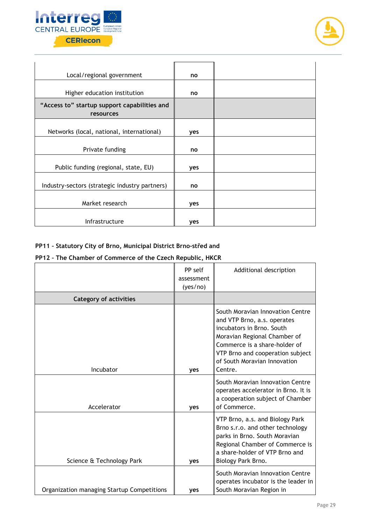



| Local/regional government                                 | no  |  |
|-----------------------------------------------------------|-----|--|
| Higher education institution                              | no  |  |
| "Access to" startup support capabilities and<br>resources |     |  |
| Networks (local, national, international)                 | yes |  |
| Private funding                                           | no  |  |
| Public funding (regional, state, EU)                      | yes |  |
| Industry-sectors (strategic industry partners)            | no  |  |
| Market research                                           | yes |  |
| Infrastructure                                            | yes |  |

## **PP11 – Statutory City of Brno, Municipal District Brno-střed and**

#### **PP12 – The Chamber of Commerce of the Czech Republic, HKCR**

|                                            | PP self<br>assessment<br>(yes/no) | Additional description                                                                                                                                                                                                                       |
|--------------------------------------------|-----------------------------------|----------------------------------------------------------------------------------------------------------------------------------------------------------------------------------------------------------------------------------------------|
| <b>Category of activities</b>              |                                   |                                                                                                                                                                                                                                              |
| Incubator                                  | yes                               | South Moravian Innovation Centre<br>and VTP Brno, a.s. operates<br>incubators in Brno. South<br>Moravian Regional Chamber of<br>Commerce is a share-holder of<br>VTP Brno and cooperation subject<br>of South Moravian Innovation<br>Centre. |
| Accelerator                                | yes                               | South Moravian Innovation Centre<br>operates accelerator in Brno. It is<br>a cooperation subject of Chamber<br>of Commerce.                                                                                                                  |
| Science & Technology Park                  | yes                               | VTP Brno, a.s. and Biology Park<br>Brno s.r.o. and other technology<br>parks in Brno. South Moravian<br>Regional Chamber of Commerce is<br>a share-holder of VTP Brno and<br>Biology Park Brno.                                              |
| Organization managing Startup Competitions | yes                               | South Moravian Innovation Centre<br>operates incubator is the leader in<br>South Moravian Region in                                                                                                                                          |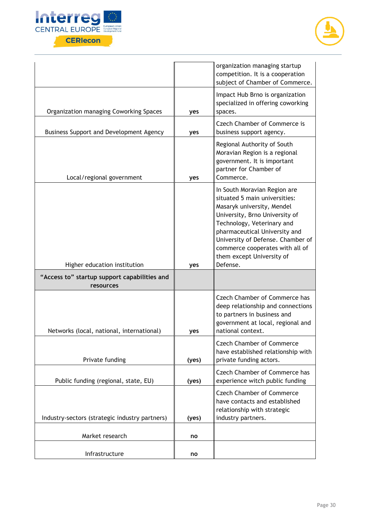



|                                                           |       | organization managing startup<br>competition. It is a cooperation<br>subject of Chamber of Commerce.                                                                                                                                                                                                          |
|-----------------------------------------------------------|-------|---------------------------------------------------------------------------------------------------------------------------------------------------------------------------------------------------------------------------------------------------------------------------------------------------------------|
| Organization managing Coworking Spaces                    | yes   | Impact Hub Brno is organization<br>specialized in offering coworking<br>spaces.                                                                                                                                                                                                                               |
| Business Support and Development Agency                   | yes   | Czech Chamber of Commerce is<br>business support agency.                                                                                                                                                                                                                                                      |
| Local/regional government                                 | yes   | Regional Authority of South<br>Moravian Region is a regional<br>government. It is important<br>partner for Chamber of<br>Commerce.                                                                                                                                                                            |
| Higher education institution                              | yes   | In South Moravian Region are<br>situated 5 main universities:<br>Masaryk university, Mendel<br>University, Brno University of<br>Technology, Veterinary and<br>pharmaceutical University and<br>University of Defense. Chamber of<br>commerce cooperates with all of<br>them except University of<br>Defense. |
| "Access to" startup support capabilities and<br>resources |       |                                                                                                                                                                                                                                                                                                               |
| Networks (local, national, international)                 | yes   | <b>Czech Chamber of Commerce has</b><br>deep relationship and connections<br>to partners in business and<br>government at local, regional and<br>national context.                                                                                                                                            |
| Private funding                                           | (yes) | <b>Czech Chamber of Commerce</b><br>have established relationship with<br>private funding actors.                                                                                                                                                                                                             |
| Public funding (regional, state, EU)                      | (yes) | <b>Czech Chamber of Commerce has</b><br>experience witch public funding                                                                                                                                                                                                                                       |
| Industry-sectors (strategic industry partners)            | (yes) | <b>Czech Chamber of Commerce</b><br>have contacts and established<br>relationship with strategic<br>industry partners.                                                                                                                                                                                        |
| Market research                                           | no    |                                                                                                                                                                                                                                                                                                               |
|                                                           |       |                                                                                                                                                                                                                                                                                                               |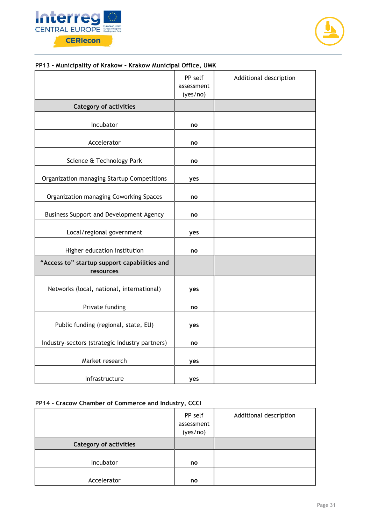



#### **PP13 – Municipality of Krakow – Krakow Municipal Office, UMK**

|                                                           | PP self<br>assessment<br>(yes/no) | Additional description |
|-----------------------------------------------------------|-----------------------------------|------------------------|
| <b>Category of activities</b>                             |                                   |                        |
| Incubator                                                 | no                                |                        |
| Accelerator                                               | no                                |                        |
| Science & Technology Park                                 | no                                |                        |
| Organization managing Startup Competitions                | yes                               |                        |
| Organization managing Coworking Spaces                    | no                                |                        |
| Business Support and Development Agency                   | no                                |                        |
| Local/regional government                                 | yes                               |                        |
| Higher education institution                              | no                                |                        |
| "Access to" startup support capabilities and<br>resources |                                   |                        |
| Networks (local, national, international)                 | yes                               |                        |
| Private funding                                           | no                                |                        |
| Public funding (regional, state, EU)                      | yes                               |                        |
| Industry-sectors (strategic industry partners)            | no                                |                        |
| Market research                                           | yes                               |                        |
| Infrastructure                                            | yes                               |                        |

## **PP14 – Cracow Chamber of Commerce and Industry, CCCI**

|                               | PP self<br>assessment<br>(yes/no) | Additional description |
|-------------------------------|-----------------------------------|------------------------|
| <b>Category of activities</b> |                                   |                        |
| Incubator                     | no                                |                        |
| Accelerator                   | no                                |                        |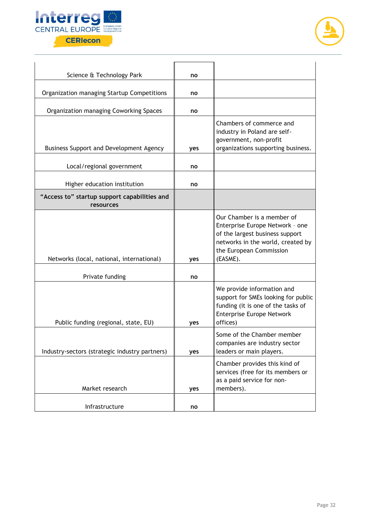



| Science & Technology Park                                 | no  |                                                                                                                                                                              |
|-----------------------------------------------------------|-----|------------------------------------------------------------------------------------------------------------------------------------------------------------------------------|
| Organization managing Startup Competitions                | no  |                                                                                                                                                                              |
| Organization managing Coworking Spaces                    | no  |                                                                                                                                                                              |
| Business Support and Development Agency                   | yes | Chambers of commerce and<br>industry in Poland are self-<br>government, non-profit<br>organizations supporting business.                                                     |
| Local/regional government                                 | no  |                                                                                                                                                                              |
| Higher education institution                              | no  |                                                                                                                                                                              |
| "Access to" startup support capabilities and<br>resources |     |                                                                                                                                                                              |
| Networks (local, national, international)                 | yes | Our Chamber is a member of<br>Enterprise Europe Network - one<br>of the largest business support<br>networks in the world, created by<br>the European Commission<br>(EASME). |
| Private funding                                           | no  |                                                                                                                                                                              |
| Public funding (regional, state, EU)                      | yes | We provide information and<br>support for SMEs looking for public<br>funding (it is one of the tasks of<br><b>Enterprise Europe Network</b><br>offices)                      |
| Industry-sectors (strategic industry partners)            | yes | Some of the Chamber member<br>companies are industry sector<br>leaders or main players.                                                                                      |
| Market research                                           | yes | Chamber provides this kind of<br>services (free for its members or<br>as a paid service for non-<br>members).                                                                |
| Infrastructure                                            | no  |                                                                                                                                                                              |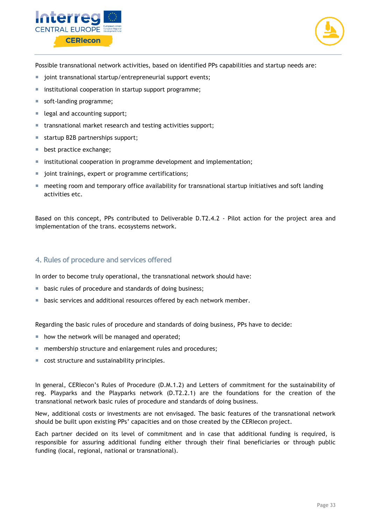



Possible transnational network activities, based on identified PPs capabilities and startup needs are:

- joint transnational startup/entrepreneurial support events;
- institutional cooperation in startup support programme;
- soft-landing programme;
- egal and accounting support;
- **transnational market research and testing activities support;**
- startup B2B partnerships support;
- best practice exchange;
- **EX institutional cooperation in programme development and implementation;**
- joint trainings, expert or programme certifications;
- **F** meeting room and temporary office availability for transnational startup initiatives and soft landing activities etc.

Based on this concept, PPs contributed to Deliverable D.T2.4.2 - Pilot action for the project area and implementation of the trans. ecosystems network.

#### <span id="page-32-0"></span>**4. Rules of procedure and services offered**

In order to become truly operational, the transnational network should have:

- **basic rules of procedure and standards of doing business;**
- basic services and additional resources offered by each network member.

Regarding the basic rules of procedure and standards of doing business, PPs have to decide:

- $\blacksquare$  how the network will be managed and operated;
- **numbership structure and enlargement rules and procedures;**
- cost structure and sustainability principles.

In general, CERIecon's Rules of Procedure (D.M.1.2) and Letters of commitment for the sustainability of reg. Playparks and the Playparks network (D.T2.2.1) are the foundations for the creation of the transnational network basic rules of procedure and standards of doing business.

New, additional costs or investments are not envisaged. The basic features of the transnational network should be built upon existing PPs' capacities and on those created by the CERIecon project.

Each partner decided on its level of commitment and in case that additional funding is required, is responsible for assuring additional funding either through their final beneficiaries or through public funding (local, regional, national or transnational).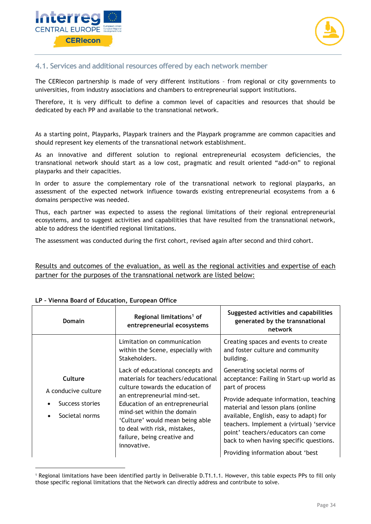



## <span id="page-33-0"></span>**4.1. Services and additional resources offered by each network member**

The CERIecon partnership is made of very different institutions – from regional or city governments to universities, from industry associations and chambers to entrepreneurial support institutions.

Therefore, it is very difficult to define a common level of capacities and resources that should be dedicated by each PP and available to the transnational network.

As a starting point, Playparks, Playpark trainers and the Playpark programme are common capacities and should represent key elements of the transnational network establishment.

As an innovative and different solution to regional entrepreneurial ecosystem deficiencies, the transnational network should start as a low cost, pragmatic and result oriented "add-on" to regional playparks and their capacities.

In order to assure the complementary role of the transnational network to regional playparks, an assessment of the expected network influence towards existing entrepreneurial ecosystems from a 6 domains perspective was needed.

Thus, each partner was expected to assess the regional limitations of their regional entrepreneurial ecosystems, and to suggest activities and capabilities that have resulted from the transnational network, able to address the identified regional limitations.

The assessment was conducted during the first cohort, revised again after second and third cohort.

Results and outcomes of the evaluation, as well as the regional activities and expertise of each partner for the purposes of the transnational network are listed below:

| <b>Domain</b>                                                       | Regional limitations <sup>1</sup> of<br>entrepreneurial ecosystems                                                                                                                                                                                                                                                           | Suggested activities and capabilities<br>generated by the transnational<br>network                                                                                                                                                                                                                                                                                                     |
|---------------------------------------------------------------------|------------------------------------------------------------------------------------------------------------------------------------------------------------------------------------------------------------------------------------------------------------------------------------------------------------------------------|----------------------------------------------------------------------------------------------------------------------------------------------------------------------------------------------------------------------------------------------------------------------------------------------------------------------------------------------------------------------------------------|
|                                                                     | Limitation on communication<br>within the Scene, especially with<br>Stakeholders.                                                                                                                                                                                                                                            | Creating spaces and events to create<br>and foster culture and community<br>building.                                                                                                                                                                                                                                                                                                  |
| Culture<br>A conducive culture<br>Success stories<br>Societal norms | Lack of educational concepts and<br>materials for teachers/educational<br>culture towards the education of<br>an entrepreneurial mind-set.<br>Education of an entrepreneurial<br>mind-set within the domain<br>'Culture' would mean being able<br>to deal with risk, mistakes,<br>failure, being creative and<br>innovative. | Generating societal norms of<br>acceptance: Failing in Start-up world as<br>part of process<br>Provide adequate information, teaching<br>material and lesson plans (online<br>available, English, easy to adapt) for<br>teachers. Implement a (virtual) 'service<br>point' teachers/educators can come<br>back to when having specific questions.<br>Providing information about 'best |

#### **LP – Vienna Board of Education, European Office**

-

<sup>1</sup> Regional limitations have been identified partly in Deliverable D.T1.1.1. However, this table expects PPs to fill only those specific regional limitations that the Network can directly address and contribute to solve.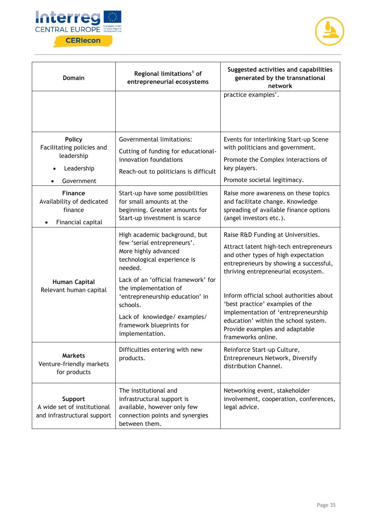



| <b>Domain</b>                                                                        | Regional limitations <sup>1</sup> of<br>entrepreneurial ecosystems                                                                                                                                                                                                                                                          | Suggested activities and capabilities<br>generated by the transnational<br>network                                                                                                                                                                                                                                                                                                                                         |
|--------------------------------------------------------------------------------------|-----------------------------------------------------------------------------------------------------------------------------------------------------------------------------------------------------------------------------------------------------------------------------------------------------------------------------|----------------------------------------------------------------------------------------------------------------------------------------------------------------------------------------------------------------------------------------------------------------------------------------------------------------------------------------------------------------------------------------------------------------------------|
|                                                                                      |                                                                                                                                                                                                                                                                                                                             | practice examples'.                                                                                                                                                                                                                                                                                                                                                                                                        |
| <b>Policy</b><br>Facilitating policies and<br>leadership<br>Leadership<br>Government | Governmental limitations:<br>Cutting of funding for educational-<br>innovation foundations<br>Reach-out to politicians is difficult                                                                                                                                                                                         | Events for interlinking Start-up Scene<br>with politicians and government.<br>Promote the Complex interactions of<br>key players.<br>Promote societal legitimacy.                                                                                                                                                                                                                                                          |
| <b>Finance</b><br>Availability of dedicated<br>finance<br>Financial capital          | Start-up have some possibilities<br>for small amounts at the<br>beginning. Greater amounts for<br>Start-up investment is scarce                                                                                                                                                                                             | Raise more awareness on these topics<br>and facilitate change. Knowledge<br>spreading of available finance options<br>(angel investors etc.).                                                                                                                                                                                                                                                                              |
| <b>Human Capital</b><br>Relevant human capital                                       | High academic background, but<br>few 'serial entrepreneurs'.<br>More highly advanced<br>technological experience is<br>needed.<br>Lack of an 'official framework' for<br>the implementation of<br>'entrepreneurship education' in<br>schools.<br>Lack of knowledge/examples/<br>framework blueprints for<br>implementation. | Raise R&D Funding at Universities.<br>Attract latent high-tech entrepreneurs<br>and other types of high expectation<br>entrepreneurs by showing a successful,<br>thriving entrepreneurial ecosystem.<br>Inform official school authorities about<br>'best practice' examples of the<br>implementation of 'entrepreneurship<br>education' within the school system.<br>Provide examples and adaptable<br>frameworks online. |
| <b>Markets</b><br>Venture-friendly markets<br>for products                           | Difficulties entering with new<br>products.                                                                                                                                                                                                                                                                                 | Reinforce Start-up Culture,<br>Entrepreneurs Network, Diversify<br>distribution Channel.                                                                                                                                                                                                                                                                                                                                   |
| Support<br>A wide set of institutional<br>and infrastructural support                | The institutional and<br>infrastructural support is<br>available, however only few<br>connection points and synergies<br>between them.                                                                                                                                                                                      | Networking event, stakeholder<br>involvement, cooperation, conferences,<br>legal advice.                                                                                                                                                                                                                                                                                                                                   |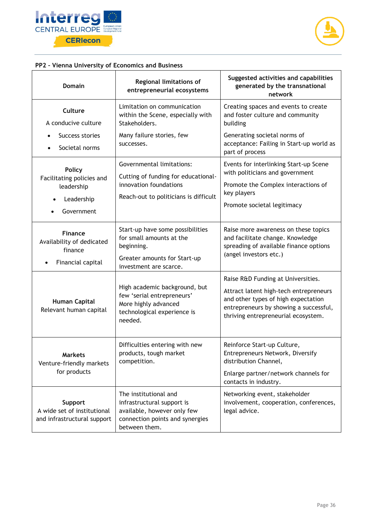



#### **PP2 – Vienna University of Economics and Business**

| <b>Domain</b>                                                                        | <b>Regional limitations of</b><br>entrepreneurial ecosystems                                                                           | Suggested activities and capabilities<br>generated by the transnational<br>network                                                                                                                   |
|--------------------------------------------------------------------------------------|----------------------------------------------------------------------------------------------------------------------------------------|------------------------------------------------------------------------------------------------------------------------------------------------------------------------------------------------------|
| <b>Culture</b><br>A conducive culture                                                | Limitation on communication<br>within the Scene, especially with<br>Stakeholders.                                                      | Creating spaces and events to create<br>and foster culture and community<br>building                                                                                                                 |
| Success stories<br>Societal norms                                                    | Many failure stories, few<br>successes.                                                                                                | Generating societal norms of<br>acceptance: Failing in Start-up world as<br>part of process                                                                                                          |
| <b>Policy</b><br>Facilitating policies and<br>leadership<br>Leadership<br>Government | Governmental limitations:<br>Cutting of funding for educational-<br>innovation foundations<br>Reach-out to politicians is difficult    | Events for interlinking Start-up Scene<br>with politicians and government<br>Promote the Complex interactions of<br>key players<br>Promote societal legitimacy                                       |
| <b>Finance</b><br>Availability of dedicated<br>finance<br>Financial capital          | Start-up have some possibilities<br>for small amounts at the<br>beginning.<br>Greater amounts for Start-up<br>investment are scarce.   | Raise more awareness on these topics<br>and facilitate change. Knowledge<br>spreading of available finance options<br>(angel investors etc.)                                                         |
| <b>Human Capital</b><br>Relevant human capital                                       | High academic background, but<br>few 'serial entrepreneurs'<br>More highly advanced<br>technological experience is<br>needed.          | Raise R&D Funding at Universities.<br>Attract latent high-tech entrepreneurs<br>and other types of high expectation<br>entrepreneurs by showing a successful,<br>thriving entrepreneurial ecosystem. |
| <b>Markets</b><br>Venture-friendly markets<br>for products                           | Difficulties entering with new<br>products, tough market<br>competition.                                                               | Reinforce Start-up Culture,<br>Entrepreneurs Network, Diversify<br>distribution Channel,<br>Enlarge partner/network channels for<br>contacts in industry.                                            |
| Support<br>A wide set of institutional<br>and infrastructural support                | The institutional and<br>infrastructural support is<br>available, however only few<br>connection points and synergies<br>between them. | Networking event, stakeholder<br>involvement, cooperation, conferences,<br>legal advice.                                                                                                             |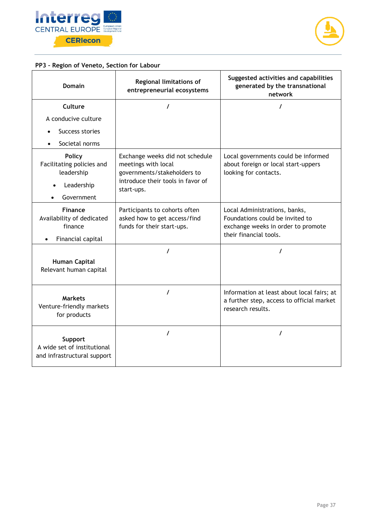



## **PP3 – Region of Veneto, Section for Labour**

| <b>Domain</b>                                                                        | Regional limitations of<br>entrepreneurial ecosystems                                                                                    | Suggested activities and capabilities<br>generated by the transnational<br>network                                               |
|--------------------------------------------------------------------------------------|------------------------------------------------------------------------------------------------------------------------------------------|----------------------------------------------------------------------------------------------------------------------------------|
| Culture                                                                              | $\prime$                                                                                                                                 | T                                                                                                                                |
| A conducive culture                                                                  |                                                                                                                                          |                                                                                                                                  |
| Success stories                                                                      |                                                                                                                                          |                                                                                                                                  |
| Societal norms                                                                       |                                                                                                                                          |                                                                                                                                  |
| <b>Policy</b><br>Facilitating policies and<br>leadership<br>Leadership<br>Government | Exchange weeks did not schedule<br>meetings with local<br>governments/stakeholders to<br>introduce their tools in favor of<br>start-ups. | Local governments could be informed<br>about foreign or local start-uppers<br>looking for contacts.                              |
| <b>Finance</b><br>Availability of dedicated<br>finance<br>Financial capital          | Participants to cohorts often<br>asked how to get access/find<br>funds for their start-ups.                                              | Local Administrations, banks,<br>Foundations could be invited to<br>exchange weeks in order to promote<br>their financial tools. |
| <b>Human Capital</b><br>Relevant human capital                                       |                                                                                                                                          | 7                                                                                                                                |
| <b>Markets</b><br>Venture-friendly markets<br>for products                           | $\prime$                                                                                                                                 | Information at least about local fairs; at<br>a further step, access to official market<br>research results.                     |
| Support<br>A wide set of institutional<br>and infrastructural support                | $\prime$                                                                                                                                 | $\prime$                                                                                                                         |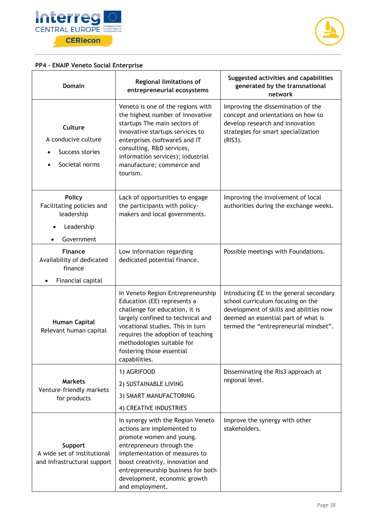



## **PP4 – ENAIP Veneto Social Enterprise**

| <b>Domain</b>                                                                        | Regional limitations of<br>entrepreneurial ecosystems                                                                                                                                                                                                                                        | Suggested activities and capabilities<br>generated by the transnational<br>network                                                                                                                      |
|--------------------------------------------------------------------------------------|----------------------------------------------------------------------------------------------------------------------------------------------------------------------------------------------------------------------------------------------------------------------------------------------|---------------------------------------------------------------------------------------------------------------------------------------------------------------------------------------------------------|
| <b>Culture</b><br>A conducive culture<br>Success stories<br>Societal norms           | Veneto is one of the regions with<br>the highest number of innovative<br>startups The main sectors of<br>innovative startups services to<br>enterprises (softwareS and IT<br>consulting, R&D services,<br>information services); industrial<br>manufacture; commerce and<br>tourism.         | Improving the dissemination of the<br>concept and orientations on how to<br>develop research and innovation<br>strategies for smart specialization<br>(RIS3).                                           |
| <b>Policy</b><br>Facilitating policies and<br>leadership<br>Leadership<br>Government | Lack of opportunities to engage<br>the participants with policy-<br>makers and local governments.                                                                                                                                                                                            | Improving the involvement of local<br>authorities during the exchange weeks.                                                                                                                            |
| <b>Finance</b><br>Availability of dedicated<br>finance<br>Financial capital          | Low information regarding<br>dedicated potential finance.                                                                                                                                                                                                                                    | Possible meetings with Foundations.                                                                                                                                                                     |
| Human Capital<br>Relevant human capital                                              | In Veneto Region Entrepreneurship<br>Education (EE) represents a<br>challenge for education, it is<br>largely confined to technical and<br>vocational studies. This in turn<br>requires the adoption of teaching<br>methodologies suitable for<br>fostering those essential<br>capabilities. | Introducing EE in the general secondary<br>school curriculum focusing on the<br>development of skills and abilities now<br>deemed an essential part of what is<br>termed the "entrepreneurial mindset". |
| <b>Markets</b><br>Venture-friendly markets<br>for products                           | 1) AGRIFOOD<br>2) SUSTAINABLE LIVING<br>3) SMART MANUFACTORING<br>4) CREATIVE INDUSTRIES                                                                                                                                                                                                     | Disseminating the Ris3 approach at<br>regional level.                                                                                                                                                   |
| Support<br>A wide set of institutional<br>and infrastructural support                | In synergy with the Region Veneto<br>actions are implemented to<br>promote women and young.<br>entrepreneurs through the<br>implementation of measures to<br>boost creativity, innovation and<br>entrepreneurship business for both<br>development, economic growth<br>and employment.       | Improve the synergy with other<br>stakeholders.                                                                                                                                                         |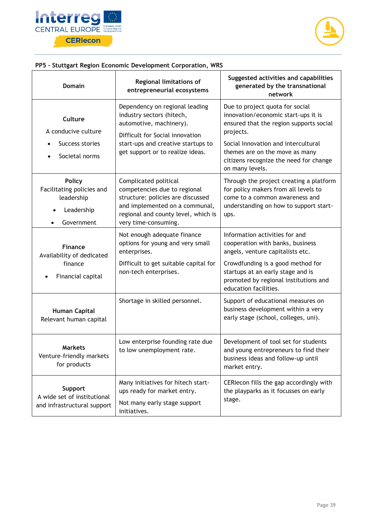



## **PP5 – Stuttgart Region Economic Development Corporation, WRS**

| <b>Domain</b>                                                                                     | <b>Regional limitations of</b><br>entrepreneurial ecosystems                                                                                                                                        | Suggested activities and capabilities<br>generated by the transnational<br>network                                                                                                                                                                                   |
|---------------------------------------------------------------------------------------------------|-----------------------------------------------------------------------------------------------------------------------------------------------------------------------------------------------------|----------------------------------------------------------------------------------------------------------------------------------------------------------------------------------------------------------------------------------------------------------------------|
| Culture<br>A conducive culture<br>Success stories<br>Societal norms<br>$\bullet$                  | Dependency on regional leading<br>industry sectors (hitech,<br>automotive, machinery).<br>Difficult for Social innovation<br>start-ups and creative startups to<br>get support or to realize ideas. | Due to project quota for social<br>innovation/economic start-ups it is<br>ensured that the region supports social<br>projects.<br>Social Innovation and intercultural<br>themes are on the move as many<br>citizens recognize the need for change<br>on many levels. |
| <b>Policy</b><br>Facilitating policies and<br>leadership<br>Leadership<br>Government<br>$\bullet$ | Complicated political<br>competencies due to regional<br>structure: policies are discussed<br>and implemented on a communal,<br>regional and county level, which is<br>very time-consuming.         | Through the project creating a platform<br>for policy makers from all levels to<br>come to a common awareness and<br>understanding on how to support start-<br>ups.                                                                                                  |
| <b>Finance</b><br>Availability of dedicated<br>finance<br>Financial capital                       | Not enough adequate finance<br>options for young and very small<br>enterprises.<br>Difficult to get suitable capital for<br>non-tech enterprises.                                                   | Information activities for and<br>cooperation with banks, business<br>angels, venture capitalists etc.<br>Crowdfunding is a good method for<br>startups at an early stage and is<br>promoted by regional institutions and<br>education facilities.                   |
| <b>Human Capital</b><br>Relevant human capital                                                    | Shortage in skilled personnel.                                                                                                                                                                      | Support of educational measures on<br>business development within a very<br>early stage (school, colleges, uni).                                                                                                                                                     |
| <b>Markets</b><br>Venture-friendly markets<br>for products                                        | Low enterprise founding rate due<br>to low unemployment rate.                                                                                                                                       | Development of tool set for students<br>and young entrepreneurs to find their<br>business ideas and follow-up until<br>market entry.                                                                                                                                 |
| Support<br>A wide set of institutional<br>and infrastructural support                             | Many initiatives for hitech start-<br>ups ready for market entry.<br>Not many early stage support<br>initiatives.                                                                                   | CERIecon fills the gap accordingly with<br>the playparks as it focusses on early<br>stage.                                                                                                                                                                           |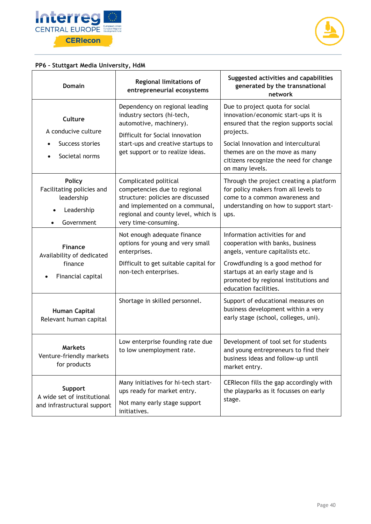



## **PP6 – Stuttgart Media University, HdM**

| Domain                                                                                            | <b>Regional limitations of</b><br>entrepreneurial ecosystems                                                                                                                                         | Suggested activities and capabilities<br>generated by the transnational<br>network                                                                                                                                                                                   |
|---------------------------------------------------------------------------------------------------|------------------------------------------------------------------------------------------------------------------------------------------------------------------------------------------------------|----------------------------------------------------------------------------------------------------------------------------------------------------------------------------------------------------------------------------------------------------------------------|
| Culture<br>A conducive culture<br>Success stories<br>Societal norms<br>$\bullet$                  | Dependency on regional leading<br>industry sectors (hi-tech,<br>automotive, machinery).<br>Difficult for Social innovation<br>start-ups and creative startups to<br>get support or to realize ideas. | Due to project quota for social<br>innovation/economic start-ups it is<br>ensured that the region supports social<br>projects.<br>Social Innovation and intercultural<br>themes are on the move as many<br>citizens recognize the need for change<br>on many levels. |
| <b>Policy</b><br>Facilitating policies and<br>leadership<br>Leadership<br>Government<br>$\bullet$ | Complicated political<br>competencies due to regional<br>structure: policies are discussed<br>and implemented on a communal,<br>regional and county level, which is<br>very time-consuming.          | Through the project creating a platform<br>for policy makers from all levels to<br>come to a common awareness and<br>understanding on how to support start-<br>ups.                                                                                                  |
| <b>Finance</b><br>Availability of dedicated<br>finance<br>Financial capital                       | Not enough adequate finance<br>options for young and very small<br>enterprises.<br>Difficult to get suitable capital for<br>non-tech enterprises.                                                    | Information activities for and<br>cooperation with banks, business<br>angels, venture capitalists etc.<br>Crowdfunding is a good method for<br>startups at an early stage and is<br>promoted by regional institutions and<br>education facilities.                   |
| <b>Human Capital</b><br>Relevant human capital                                                    | Shortage in skilled personnel.                                                                                                                                                                       | Support of educational measures on<br>business development within a very<br>early stage (school, colleges, uni).                                                                                                                                                     |
| <b>Markets</b><br>Venture-friendly markets<br>for products                                        | Low enterprise founding rate due<br>to low unemployment rate.                                                                                                                                        | Development of tool set for students<br>and young entrepreneurs to find their<br>business ideas and follow-up until<br>market entry.                                                                                                                                 |
| Support<br>A wide set of institutional<br>and infrastructural support                             | Many initiatives for hi-tech start-<br>ups ready for market entry.<br>Not many early stage support<br>initiatives.                                                                                   | CERIecon fills the gap accordingly with<br>the playparks as it focusses on early<br>stage.                                                                                                                                                                           |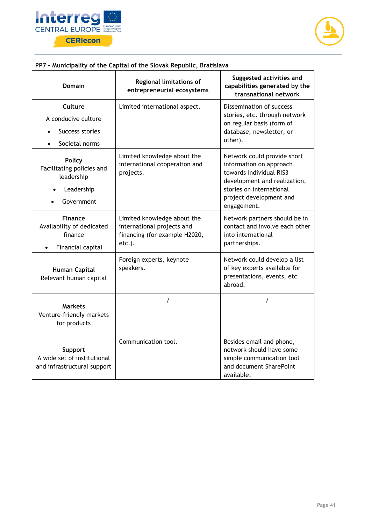



## **PP7 – Municipality of the Capital of the Slovak Republic, Bratislava**

| Domain                                                                               | <b>Regional limitations of</b><br>entrepreneurial ecosystems                                         | Suggested activities and<br>capabilities generated by the<br>transnational network                                                                                                      |
|--------------------------------------------------------------------------------------|------------------------------------------------------------------------------------------------------|-----------------------------------------------------------------------------------------------------------------------------------------------------------------------------------------|
| Culture<br>A conducive culture<br>Success stories<br>$\bullet$<br>Societal norms     | Limited international aspect.                                                                        | Dissemination of success<br>stories, etc. through network<br>on regular basis (form of<br>database, newsletter, or<br>other).                                                           |
| <b>Policy</b><br>Facilitating policies and<br>leadership<br>Leadership<br>Government | Limited knowledge about the<br>international cooperation and<br>projects.                            | Network could provide short<br>information on approach<br>towards individual RIS3<br>development and realization,<br>stories on international<br>project development and<br>engagement. |
| <b>Finance</b><br>Availability of dedicated<br>finance<br>Financial capital          | Limited knowledge about the<br>international projects and<br>financing (for example H2020,<br>etc.). | Network partners should be in<br>contact and involve each other<br>into international<br>partnerships.                                                                                  |
| Human Capital<br>Relevant human capital                                              | Foreign experts, keynote<br>speakers.                                                                | Network could develop a list<br>of key experts available for<br>presentations, events, etc<br>abroad.                                                                                   |
| <b>Markets</b><br>Venture-friendly markets<br>for products                           | $\prime$                                                                                             | $\prime$                                                                                                                                                                                |
| Support<br>A wide set of institutional<br>and infrastructural support                | Communication tool.                                                                                  | Besides email and phone,<br>network should have some<br>simple communication tool<br>and document SharePoint<br>available.                                                              |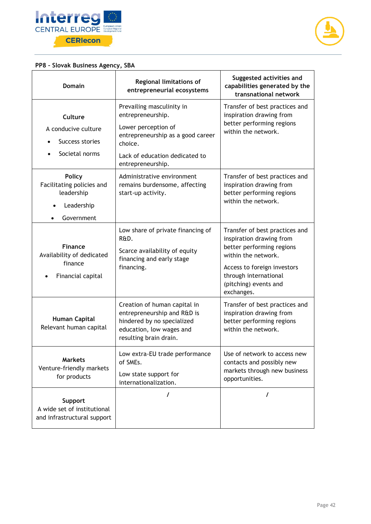



## **PP8 – Slovak Business Agency, SBA**

| <b>Domain</b>                                                                        | <b>Regional limitations of</b><br>entrepreneurial ecosystems                                                                                                                 | Suggested activities and<br>capabilities generated by the<br>transnational network                                                                                                                            |
|--------------------------------------------------------------------------------------|------------------------------------------------------------------------------------------------------------------------------------------------------------------------------|---------------------------------------------------------------------------------------------------------------------------------------------------------------------------------------------------------------|
| <b>Culture</b><br>A conducive culture<br>Success stories<br>Societal norms           | Prevailing masculinity in<br>entrepreneurship.<br>Lower perception of<br>entrepreneurship as a good career<br>choice.<br>Lack of education dedicated to<br>entrepreneurship. | Transfer of best practices and<br>inspiration drawing from<br>better performing regions<br>within the network.                                                                                                |
| <b>Policy</b><br>Facilitating policies and<br>leadership<br>Leadership<br>Government | Administrative environment<br>remains burdensome, affecting<br>start-up activity.                                                                                            | Transfer of best practices and<br>inspiration drawing from<br>better performing regions<br>within the network.                                                                                                |
| <b>Finance</b><br>Availability of dedicated<br>finance<br>Financial capital          | Low share of private financing of<br>R&D.<br>Scarce availability of equity<br>financing and early stage<br>financing.                                                        | Transfer of best practices and<br>inspiration drawing from<br>better performing regions<br>within the network.<br>Access to foreign investors<br>through international<br>(pitching) events and<br>exchanges. |
| <b>Human Capital</b><br>Relevant human capital                                       | Creation of human capital in<br>entrepreneurship and R&D is<br>hindered by no specialized<br>education, low wages and<br>resulting brain drain.                              | Transfer of best practices and<br>inspiration drawing from<br>better performing regions<br>within the network.                                                                                                |
| <b>Markets</b><br>Venture-friendly markets<br>for products                           | Low extra-EU trade performance<br>of SMEs.<br>Low state support for<br>internationalization.                                                                                 | Use of network to access new<br>contacts and possibly new<br>markets through new business<br>opportunities.                                                                                                   |
| Support<br>A wide set of institutional<br>and infrastructural support                | I                                                                                                                                                                            | $\prime$                                                                                                                                                                                                      |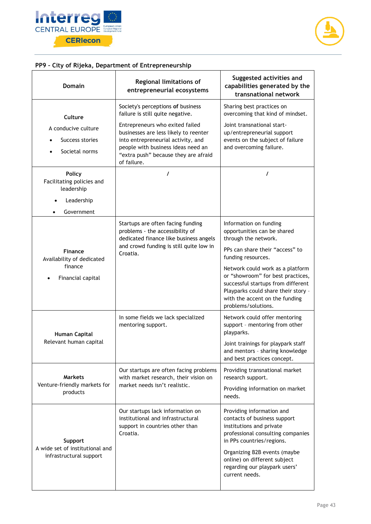



## **PP9 – City of Rijeka, Department of Entrepreneurship**

| Domain                                                                               | <b>Regional limitations of</b><br>entrepreneurial ecosystems                                                                                                                                                | Suggested activities and<br>capabilities generated by the<br>transnational network                                                                                                                                                                                         |
|--------------------------------------------------------------------------------------|-------------------------------------------------------------------------------------------------------------------------------------------------------------------------------------------------------------|----------------------------------------------------------------------------------------------------------------------------------------------------------------------------------------------------------------------------------------------------------------------------|
| Culture                                                                              | Society's perceptions of business<br>failure is still quite negative.                                                                                                                                       | Sharing best practices on<br>overcoming that kind of mindset.                                                                                                                                                                                                              |
| A conducive culture<br>Success stories<br>Societal norms                             | Entrepreneurs who exited failed<br>businesses are less likely to reenter<br>into entrepreneurial activity, and<br>people with business ideas need an<br>"extra push" because they are afraid<br>of failure. | Joint transnational start-<br>up/entrepreneurial support<br>events on the subject of failure<br>and overcoming failure.                                                                                                                                                    |
| <b>Policy</b><br>Facilitating policies and<br>leadership<br>Leadership<br>Government | I                                                                                                                                                                                                           | 7                                                                                                                                                                                                                                                                          |
| <b>Finance</b><br>Availability of dedicated<br>finance<br>Financial capital          | Startups are often facing funding<br>problems - the accessibility of<br>dedicated finance like business angels<br>and crowd funding is still quite low in<br>Croatia.                                       | Information on funding<br>opportunities can be shared<br>through the network.<br>PPs can share their "access" to                                                                                                                                                           |
|                                                                                      |                                                                                                                                                                                                             | funding resources.<br>Network could work as a platform<br>or "showroom" for best practices,<br>successful startups from different<br>Playparks could share their story -<br>with the accent on the funding<br>problems/solutions.                                          |
| <b>Human Capital</b><br>Relevant human capital                                       | In some fields we lack specialized<br>mentoring support.                                                                                                                                                    | Network could offer mentoring<br>support - mentoring from other<br>playparks.                                                                                                                                                                                              |
|                                                                                      |                                                                                                                                                                                                             | Joint trainings for playpark staff<br>and mentors - sharing knowledge<br>and best practices concept.                                                                                                                                                                       |
| <b>Markets</b><br>Venture-friendly markets for<br>products                           | Our startups are often facing problems<br>with market research, their vision on<br>market needs isn't realistic.                                                                                            | Providing transnational market<br>research support.                                                                                                                                                                                                                        |
|                                                                                      |                                                                                                                                                                                                             | Providing information on market<br>needs.                                                                                                                                                                                                                                  |
| Support<br>A wide set of institutional and<br>infrastructural support                | Our startups lack information on<br>institutional and infrastructural<br>support in countries other than<br>Croatia.                                                                                        | Providing information and<br>contacts of business support<br>institutions and private<br>professional consulting companies<br>in PPs countries/regions.<br>Organizing B2B events (maybe<br>online) on different subject<br>regarding our playpark users'<br>current needs. |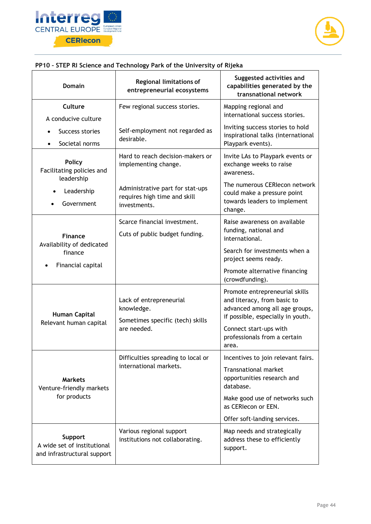



## **PP10 – STEP RI Science and Technology Park of the University of Rijeka**

| <b>Domain</b>                                                               | <b>Regional limitations of</b><br>entrepreneurial ecosystems              | Suggested activities and<br>capabilities generated by the<br>transnational network                                                   |
|-----------------------------------------------------------------------------|---------------------------------------------------------------------------|--------------------------------------------------------------------------------------------------------------------------------------|
| Culture                                                                     | Few regional success stories.                                             | Mapping regional and<br>international success stories.                                                                               |
| A conducive culture                                                         |                                                                           | Inviting success stories to hold                                                                                                     |
| Success stories<br>Societal norms                                           | Self-employment not regarded as<br>desirable.                             | inspirational talks (international<br>Playpark events).                                                                              |
| <b>Policy</b><br>Facilitating policies and<br>leadership                    | Hard to reach decision-makers or<br>implementing change.                  | Invite LAs to Playpark events or<br>exchange weeks to raise<br>awareness.                                                            |
| Leadership                                                                  | Administrative part for stat-ups                                          | The numerous CERIecon network                                                                                                        |
| Government                                                                  | requires high time and skill<br>investments.                              | could make a pressure point<br>towards leaders to implement<br>change.                                                               |
|                                                                             | Scarce financial investment.                                              | Raise awareness on available                                                                                                         |
| <b>Finance</b><br>Availability of dedicated<br>finance<br>Financial capital | Cuts of public budget funding.                                            | funding, national and<br>international.                                                                                              |
|                                                                             |                                                                           | Search for investments when a<br>project seems ready.                                                                                |
|                                                                             |                                                                           | Promote alternative financing<br>(crowdfunding).                                                                                     |
| <b>Human Capital</b><br>Relevant human capital                              | Lack of entrepreneurial<br>knowledge.<br>Sometimes specific (tech) skills | Promote entrepreneurial skills<br>and literacy, from basic to<br>advanced among all age groups,<br>if possible, especially in youth. |
|                                                                             | are needed.                                                               | Connect start-ups with<br>professionals from a certain<br>area.                                                                      |
| <b>Markets</b><br>Venture-friendly markets<br>for products                  | Difficulties spreading to local or                                        | Incentives to join relevant fairs.                                                                                                   |
|                                                                             | international markets.                                                    | <b>Transnational market</b><br>opportunities research and<br>database.                                                               |
|                                                                             |                                                                           | Make good use of networks such<br>as CERIecon or EEN.                                                                                |
|                                                                             |                                                                           | Offer soft-landing services.                                                                                                         |
| Support<br>A wide set of institutional<br>and infrastructural support       | Various regional support<br>institutions not collaborating.               | Map needs and strategically<br>address these to efficiently<br>support.                                                              |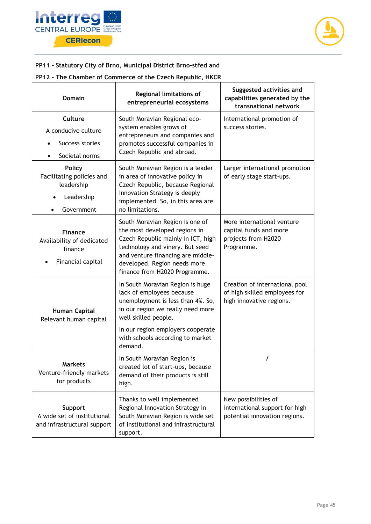



#### **PP11 – Statutory City of Brno, Municipal District Brno-střed and**

#### **PP12 – The Chamber of Commerce of the Czech Republic, HKCR**

| <b>Domain</b>                                                                        | <b>Regional limitations of</b><br>entrepreneurial ecosystems                                                                                                                                                                                        | Suggested activities and<br>capabilities generated by the<br>transnational network          |
|--------------------------------------------------------------------------------------|-----------------------------------------------------------------------------------------------------------------------------------------------------------------------------------------------------------------------------------------------------|---------------------------------------------------------------------------------------------|
| Culture<br>A conducive culture<br>Success stories<br>Societal norms                  | South Moravian Regional eco-<br>system enables grows of<br>entrepreneurs and companies and<br>promotes successful companies in<br>Czech Republic and abroad.                                                                                        | International promotion of<br>success stories.                                              |
| <b>Policy</b><br>Facilitating policies and<br>leadership<br>Leadership<br>Government | South Moravian Region is a leader<br>in area of innovative policy in<br>Czech Republic, because Regional<br>Innovation Strategy is deeply<br>implemented. So, in this area are<br>no limitations.                                                   | Larger international promotion<br>of early stage start-ups.                                 |
| <b>Finance</b><br>Availability of dedicated<br>finance<br>Financial capital          | South Moravian Region is one of<br>the most developed regions in<br>Czech Republic mainly in ICT, high<br>technology and vinery. But seed<br>and venture financing are middle-<br>developed. Region needs more<br>finance from H2020 Programme.     | More international venture<br>capital funds and more<br>projects from H2020<br>Programme.   |
| <b>Human Capital</b><br>Relevant human capital                                       | In South Moravian Region is huge<br>lack of employees because<br>unemployment is less than 4%. So,<br>in our region we really need more<br>well skilled people.<br>In our region employers cooperate<br>with schools according to market<br>demand. | Creation of international pool<br>of high skilled employees for<br>high innovative regions. |
| <b>Markets</b><br>Venture-friendly markets<br>for products                           | In South Moravian Region is<br>created lot of start-ups, because<br>demand of their products is still<br>high.                                                                                                                                      | I                                                                                           |
| Support<br>A wide set of institutional<br>and infrastructural support                | Thanks to well implemented<br>Regional Innovation Strategy in<br>South Moravian Region is wide set<br>of institutional and infrastructural<br>support.                                                                                              | New possibilities of<br>international support for high<br>potential innovation regions.     |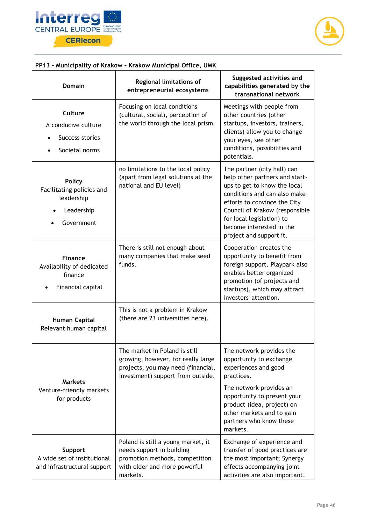



## **PP13 – Municipality of Krakow – Krakow Municipal Office, UMK**

| <b>Domain</b>                                                                        | Regional limitations of<br>entrepreneurial ecosystems                                                                                          | Suggested activities and<br>capabilities generated by the<br>transnational network                                                                                                                                                                                                  |
|--------------------------------------------------------------------------------------|------------------------------------------------------------------------------------------------------------------------------------------------|-------------------------------------------------------------------------------------------------------------------------------------------------------------------------------------------------------------------------------------------------------------------------------------|
| Culture<br>A conducive culture<br>Success stories<br>Societal norms                  | Focusing on local conditions<br>(cultural, social), perception of<br>the world through the local prism.                                        | Meetings with people from<br>other countries (other<br>startups, investors, trainers,<br>clients) allow you to change<br>your eyes, see other<br>conditions, possibilities and<br>potentials.                                                                                       |
| <b>Policy</b><br>Facilitating policies and<br>leadership<br>Leadership<br>Government | no limitations to the local policy<br>(apart from legal solutions at the<br>national and EU level)                                             | The partner (city hall) can<br>help other partners and start-<br>ups to get to know the local<br>conditions and can also make<br>efforts to convince the City<br>Council of Krakow (responsible<br>for local legislation) to<br>become interested in the<br>project and support it. |
| <b>Finance</b><br>Availability of dedicated<br>finance<br>Financial capital          | There is still not enough about<br>many companies that make seed<br>funds.                                                                     | Cooperation creates the<br>opportunity to benefit from<br>foreign support. Playpark also<br>enables better organized<br>promotion (of projects and<br>startups), which may attract<br>investors' attention.                                                                         |
| <b>Human Capital</b><br>Relevant human capital                                       | This is not a problem in Krakow<br>(there are 23 universities here).                                                                           |                                                                                                                                                                                                                                                                                     |
| <b>Markets</b><br>Venture-friendly markets<br>for products                           | The market in Poland is still<br>growing, however, for really large<br>projects, you may need (financial,<br>investment) support from outside. | The network provides the<br>opportunity to exchange<br>experiences and good<br>practices.<br>The network provides an<br>opportunity to present your<br>product (idea, project) on<br>other markets and to gain<br>partners who know these<br>markets.                               |
| Support<br>A wide set of institutional<br>and infrastructural support                | Poland is still a young market, it<br>needs support in building<br>promotion methods, competition<br>with older and more powerful<br>markets.  | Exchange of experience and<br>transfer of good practices are<br>the most important; Synergy<br>effects accompanying joint<br>activities are also important.                                                                                                                         |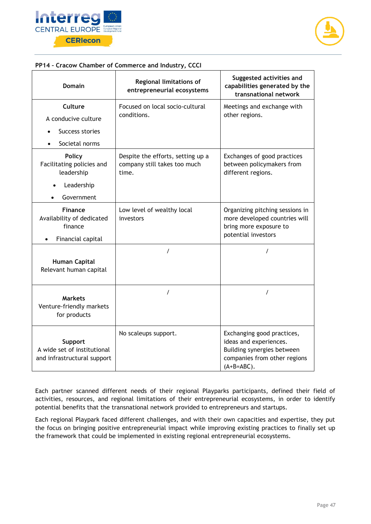



#### **PP14 – Cracow Chamber of Commerce and Industry, CCCI**

| <b>Domain</b>                                                               | Regional limitations of<br>entrepreneurial ecosystems                      | Suggested activities and<br>capabilities generated by the<br>transnational network                                                  |
|-----------------------------------------------------------------------------|----------------------------------------------------------------------------|-------------------------------------------------------------------------------------------------------------------------------------|
| Culture                                                                     | Focused on local socio-cultural<br>conditions.                             | Meetings and exchange with                                                                                                          |
| A conducive culture                                                         |                                                                            | other regions.                                                                                                                      |
| Success stories                                                             |                                                                            |                                                                                                                                     |
| Societal norms                                                              |                                                                            |                                                                                                                                     |
| <b>Policy</b><br>Facilitating policies and<br>leadership                    | Despite the efforts, setting up a<br>company still takes too much<br>time. | Exchanges of good practices<br>between policymakers from<br>different regions.                                                      |
| Leadership<br>$\bullet$                                                     |                                                                            |                                                                                                                                     |
| Government                                                                  |                                                                            |                                                                                                                                     |
| <b>Finance</b><br>Availability of dedicated<br>finance<br>Financial capital | Low level of wealthy local<br>investors                                    | Organizing pitching sessions in<br>more developed countries will<br>bring more exposure to<br>potential investors                   |
|                                                                             | $\prime$                                                                   | $\prime$                                                                                                                            |
| Human Capital<br>Relevant human capital                                     |                                                                            |                                                                                                                                     |
| <b>Markets</b><br>Venture-friendly markets<br>for products                  | $\prime$                                                                   | 7                                                                                                                                   |
| Support<br>A wide set of institutional<br>and infrastructural support       | No scaleups support.                                                       | Exchanging good practices,<br>ideas and experiences.<br>Building synergies between<br>companies from other regions<br>$(A+B=ABC)$ . |

Each partner scanned different needs of their regional Playparks participants, defined their field of activities, resources, and regional limitations of their entrepreneurial ecosystems, in order to identify potential benefits that the transnational network provided to entrepreneurs and startups.

Each regional Playpark faced different challenges, and with their own capacities and expertise, they put the focus on bringing positive entrepreneurial impact while improving existing practices to finally set up the framework that could be implemented in existing regional entrepreneurial ecosystems.